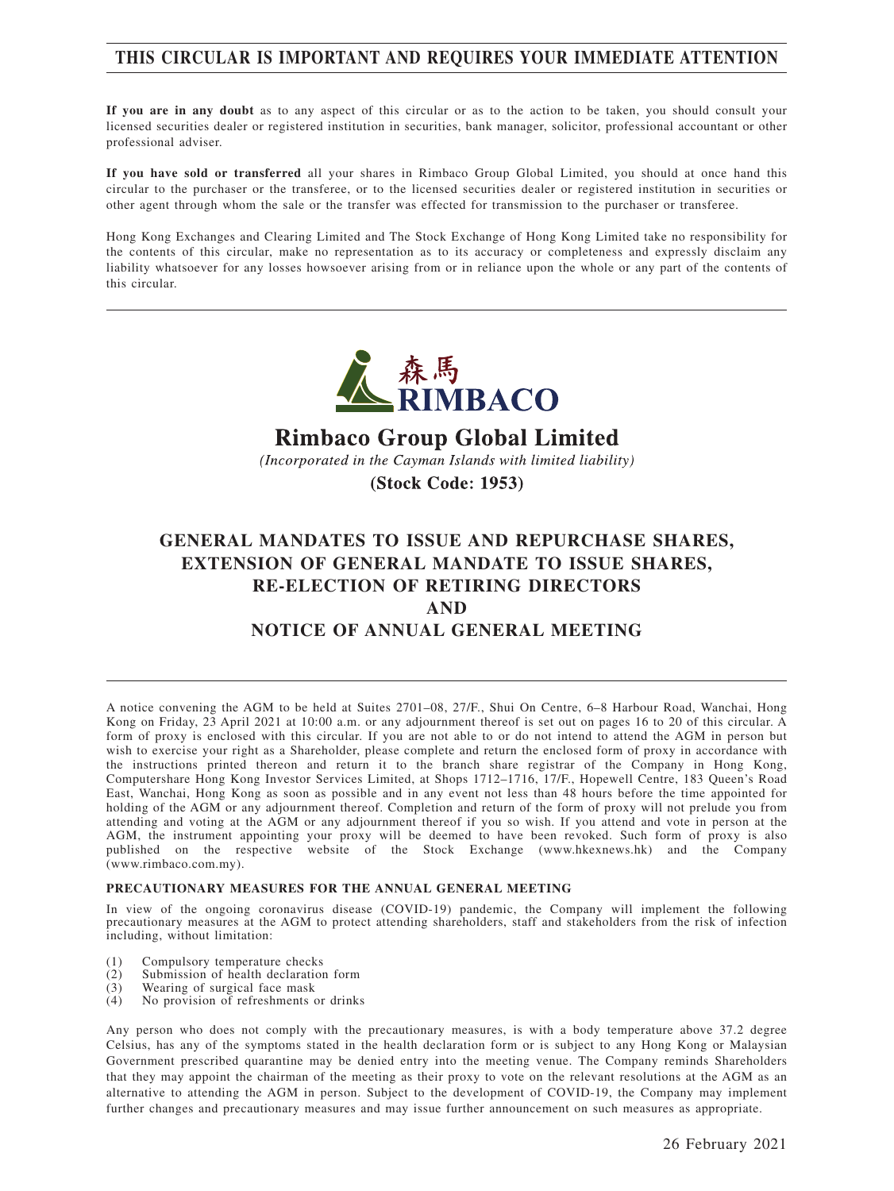# **THIS CIRCULAR IS IMPORTANT AND REQUIRES YOUR IMMEDIATE ATTENTION**

**If you are in any doubt** as to any aspect of this circular or as to the action to be taken, you should consult your licensed securities dealer or registered institution in securities, bank manager, solicitor, professional accountant or other professional adviser.

**If you have sold or transferred** all your shares in Rimbaco Group Global Limited, you should at once hand this circular to the purchaser or the transferee, or to the licensed securities dealer or registered institution in securities or other agent through whom the sale or the transfer was effected for transmission to the purchaser or transferee.

Hong Kong Exchanges and Clearing Limited and The Stock Exchange of Hong Kong Limited take no responsibility for the contents of this circular, make no representation as to its accuracy or completeness and expressly disclaim any liability whatsoever for any losses howsoever arising from or in reliance upon the whole or any part of the contents of this circular.



# **Rimbaco Group Global Limited**

(Incorporated in the Cayman Islands with limited liability)

(Stock Code: 1953)

# **GENERAL MANDATES TO ISSUE AND REPURCHASE SHARES, EXTENSION OF GENERAL MANDATE TO ISSUE SHARES, RE-ELECTION OF RETIRING DIRECTORS AND NOTICE OF ANNUAL GENERAL MEETING**

A notice convening the AGM to be held at Suites 2701–08, 27/F., Shui On Centre, 6–8 Harbour Road, Wanchai, Hong Kong on Friday, 23 April 2021 at 10:00 a.m. or any adjournment thereof is set out on pages 16 to 20 of this circular. A form of proxy is enclosed with this circular. If you are not able to or do not intend to attend the AGM in person but wish to exercise your right as a Shareholder, please complete and return the enclosed form of proxy in accordance with the instructions printed thereon and return it to the branch share registrar of the Company in Hong Kong, Computershare Hong Kong Investor Services Limited, at Shops 1712–1716, 17/F., Hopewell Centre, 183 Queen's Road East, Wanchai, Hong Kong as soon as possible and in any event not less than 48 hours before the time appointed for holding of the AGM or any adjournment thereof. Completion and return of the form of proxy will not prelude you from attending and voting at the AGM or any adjournment thereof if you so wish. If you attend and vote in person at the AGM, the instrument appointing your proxy will be deemed to have been revoked. Such form of proxy is also published on the respective website of the Stock Exchange (www.hkexnews.hk) and the Company (www.rimbaco.com.my).

#### **PRECAUTIONARY MEASURES FOR THE ANNUAL GENERAL MEETING**

In view of the ongoing coronavirus disease (COVID-19) pandemic, the Company will implement the following precautionary measures at the AGM to protect attending shareholders, staff and stakeholders from the risk of infection including, without limitation:

- (1) Compulsory temperature checks<br>(2) Submission of health declaration
- (2) Submission of health declaration form<br>(3) Wearing of surgical face mask
- (3) Wearing of surgical face mask<br>(4) No provision of refreshments of
- No provision of refreshments or drinks

Any person who does not comply with the precautionary measures, is with a body temperature above 37.2 degree Celsius, has any of the symptoms stated in the health declaration form or is subject to any Hong Kong or Malaysian Government prescribed quarantine may be denied entry into the meeting venue. The Company reminds Shareholders that they may appoint the chairman of the meeting as their proxy to vote on the relevant resolutions at the AGM as an alternative to attending the AGM in person. Subject to the development of COVID-19, the Company may implement further changes and precautionary measures and may issue further announcement on such measures as appropriate.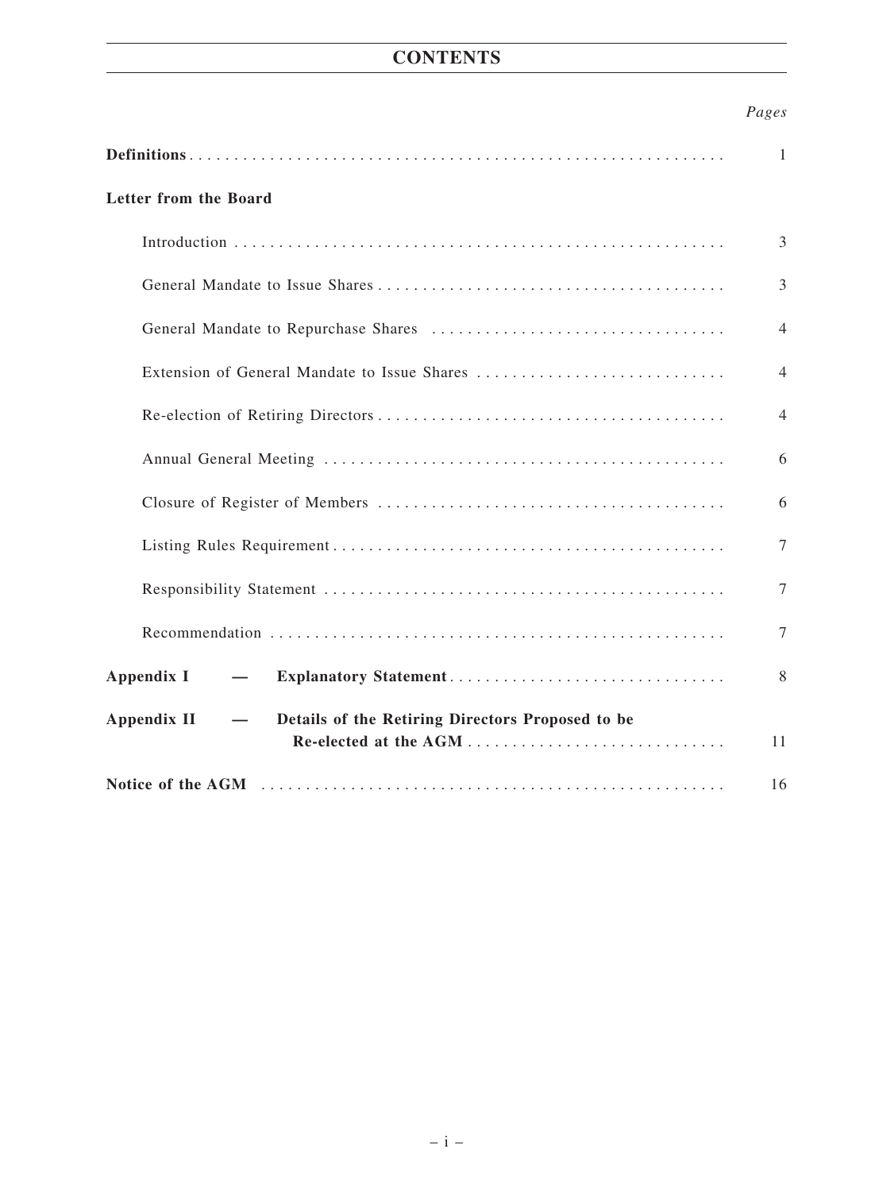# **CONTENTS**

# *Pages*

|                                                                                                    | 1              |
|----------------------------------------------------------------------------------------------------|----------------|
| Letter from the Board                                                                              |                |
|                                                                                                    | 3              |
|                                                                                                    | 3              |
|                                                                                                    | $\overline{4}$ |
| Extension of General Mandate to Issue Shares                                                       | $\overline{4}$ |
|                                                                                                    | $\overline{4}$ |
|                                                                                                    | 6              |
|                                                                                                    | 6              |
|                                                                                                    | 7              |
|                                                                                                    | $\tau$         |
|                                                                                                    | $\tau$         |
| <b>Appendix I</b>                                                                                  | 8              |
| Details of the Retiring Directors Proposed to be<br><b>Appendix II</b><br>$\overline{\phantom{0}}$ | 11             |
|                                                                                                    | 16             |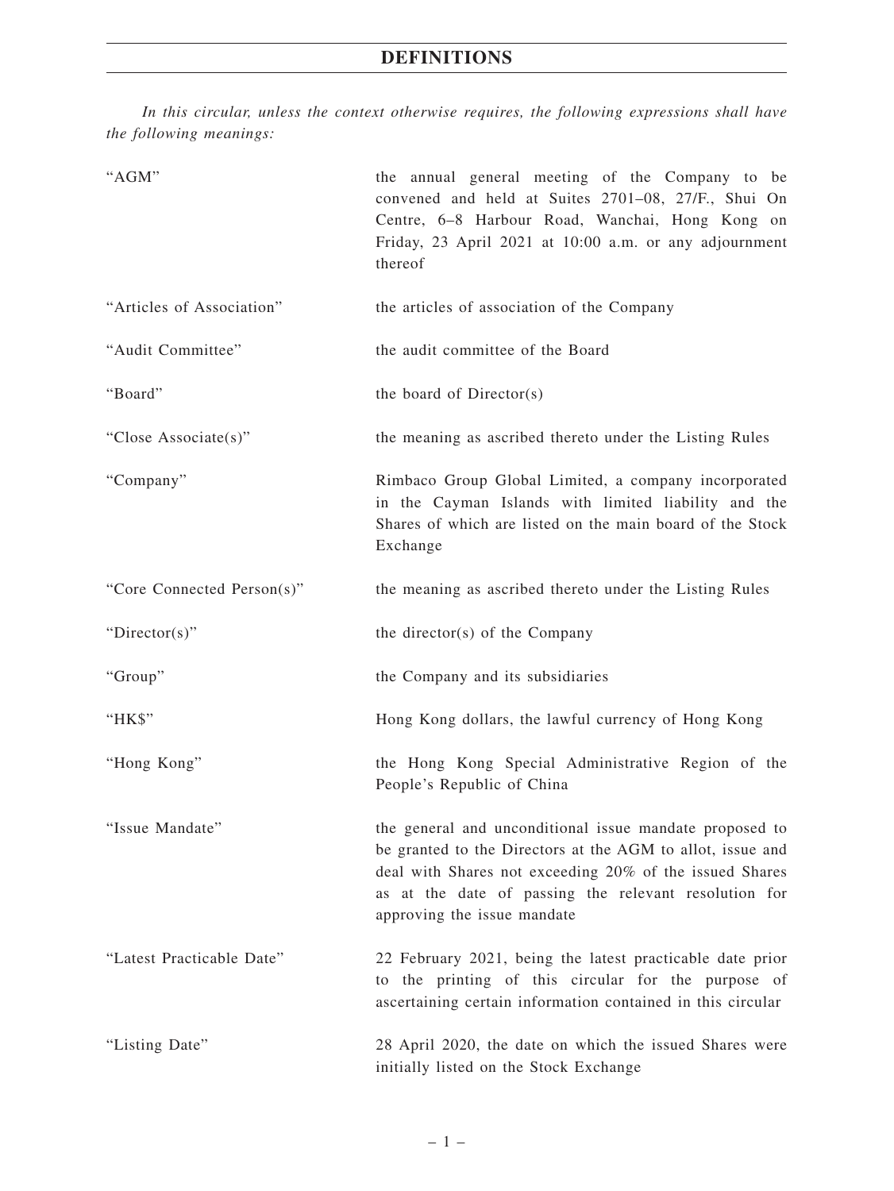*In this circular, unless the context otherwise requires, the following expressions shall have the following meanings:*

| "AGM"                      | the annual general meeting of the Company to be<br>convened and held at Suites 2701-08, 27/F., Shui On<br>Centre, 6-8 Harbour Road, Wanchai, Hong Kong on<br>Friday, 23 April 2021 at 10:00 a.m. or any adjournment<br>thereof                                           |  |  |
|----------------------------|--------------------------------------------------------------------------------------------------------------------------------------------------------------------------------------------------------------------------------------------------------------------------|--|--|
| "Articles of Association"  | the articles of association of the Company                                                                                                                                                                                                                               |  |  |
| "Audit Committee"          | the audit committee of the Board                                                                                                                                                                                                                                         |  |  |
| "Board"                    | the board of Director(s)                                                                                                                                                                                                                                                 |  |  |
| "Close Associate(s)"       | the meaning as ascribed thereto under the Listing Rules                                                                                                                                                                                                                  |  |  |
| "Company"                  | Rimbaco Group Global Limited, a company incorporated<br>in the Cayman Islands with limited liability and the<br>Shares of which are listed on the main board of the Stock<br>Exchange                                                                                    |  |  |
| "Core Connected Person(s)" | the meaning as ascribed thereto under the Listing Rules                                                                                                                                                                                                                  |  |  |
| " $Directory$ "            | the director(s) of the Company                                                                                                                                                                                                                                           |  |  |
| "Group"                    | the Company and its subsidiaries                                                                                                                                                                                                                                         |  |  |
| "HK\$"                     | Hong Kong dollars, the lawful currency of Hong Kong                                                                                                                                                                                                                      |  |  |
| "Hong Kong"                | the Hong Kong Special Administrative Region of the<br>People's Republic of China                                                                                                                                                                                         |  |  |
| "Issue Mandate"            | the general and unconditional issue mandate proposed to<br>be granted to the Directors at the AGM to allot, issue and<br>deal with Shares not exceeding 20% of the issued Shares<br>as at the date of passing the relevant resolution for<br>approving the issue mandate |  |  |
| "Latest Practicable Date"  | 22 February 2021, being the latest practicable date prior<br>to the printing of this circular for the purpose of<br>ascertaining certain information contained in this circular                                                                                          |  |  |
| "Listing Date"             | 28 April 2020, the date on which the issued Shares were<br>initially listed on the Stock Exchange                                                                                                                                                                        |  |  |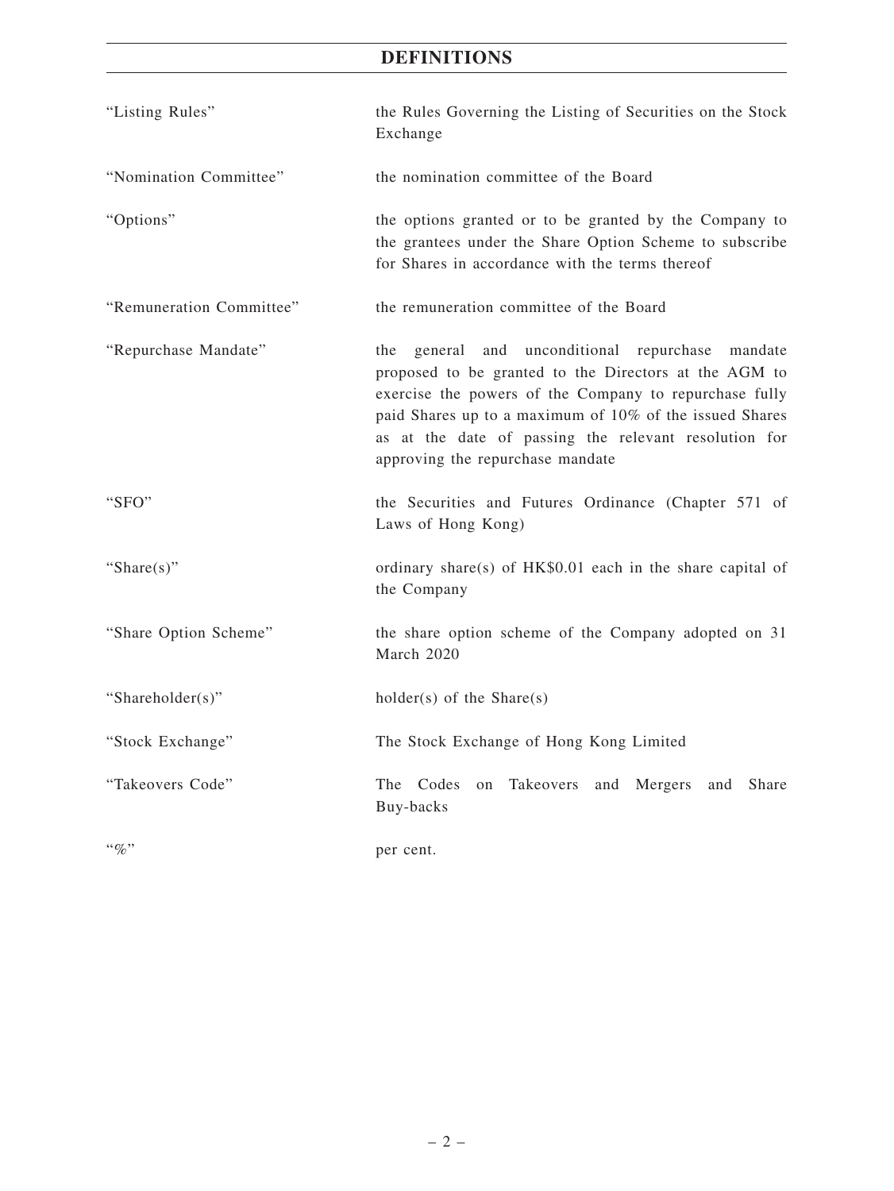# **DEFINITIONS**

| "Listing Rules"          | the Rules Governing the Listing of Securities on the Stock<br>Exchange                                                                                                                                                                                                                                                            |  |  |
|--------------------------|-----------------------------------------------------------------------------------------------------------------------------------------------------------------------------------------------------------------------------------------------------------------------------------------------------------------------------------|--|--|
| "Nomination Committee"   | the nomination committee of the Board                                                                                                                                                                                                                                                                                             |  |  |
| "Options"                | the options granted or to be granted by the Company to<br>the grantees under the Share Option Scheme to subscribe<br>for Shares in accordance with the terms thereof                                                                                                                                                              |  |  |
| "Remuneration Committee" | the remuneration committee of the Board                                                                                                                                                                                                                                                                                           |  |  |
| "Repurchase Mandate"     | general and unconditional repurchase<br>the<br>mandate<br>proposed to be granted to the Directors at the AGM to<br>exercise the powers of the Company to repurchase fully<br>paid Shares up to a maximum of 10% of the issued Shares<br>as at the date of passing the relevant resolution for<br>approving the repurchase mandate |  |  |
| "SFO"                    | the Securities and Futures Ordinance (Chapter 571 of<br>Laws of Hong Kong)                                                                                                                                                                                                                                                        |  |  |
| "Share $(s)$ "           | ordinary share(s) of HK\$0.01 each in the share capital of<br>the Company                                                                                                                                                                                                                                                         |  |  |
| "Share Option Scheme"    | the share option scheme of the Company adopted on 31<br>March 2020                                                                                                                                                                                                                                                                |  |  |
| "Shareholder(s)"         | $holder(s)$ of the Share(s)                                                                                                                                                                                                                                                                                                       |  |  |
| "Stock Exchange"         | The Stock Exchange of Hong Kong Limited                                                                                                                                                                                                                                                                                           |  |  |
| "Takeovers Code"         | The Codes<br>on Takeovers<br>and Mergers<br>Share<br>and<br>Buy-backs                                                                                                                                                                                                                                                             |  |  |
| $``\%"$                  | per cent.                                                                                                                                                                                                                                                                                                                         |  |  |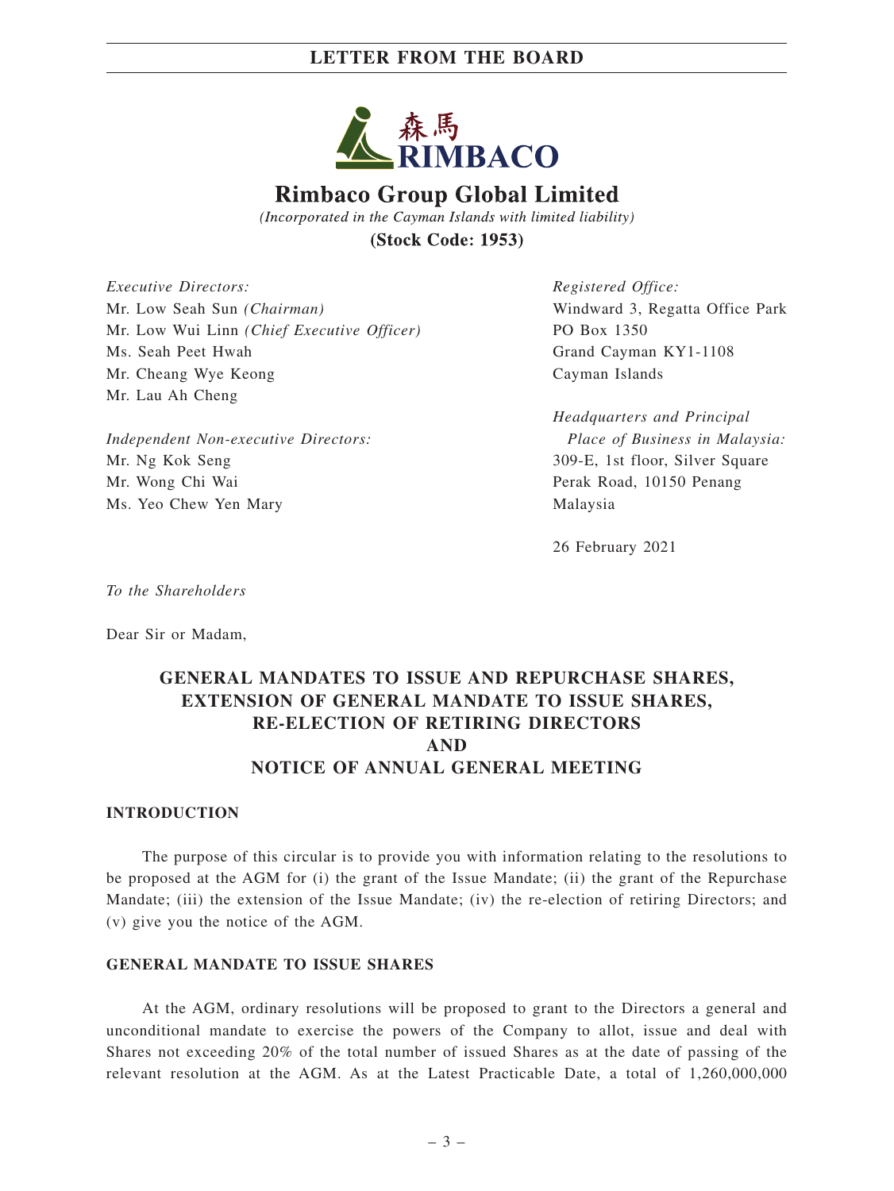

**Rimbaco Group Global Limited** 

(Incorporated in the Cayman Islands with limited liability)

**(Stock Code: 1953)** 

*Executive Directors:* Mr. Low Seah Sun *(Chairman)* Mr. Low Wui Linn *(Chief Executive Officer)* Ms. Seah Peet Hwah Mr. Cheang Wye Keong Mr. Lau Ah Cheng

*Independent Non-executive Directors:* Mr. Ng Kok Seng Mr. Wong Chi Wai Ms. Yeo Chew Yen Mary

*Registered Office:* Windward 3, Regatta Office Park PO Box 1350 Grand Cayman KY1-1108 Cayman Islands

*Headquarters and Principal Place of Business in Malaysia:* 309-E, 1st floor, Silver Square Perak Road, 10150 Penang Malaysia

26 February 2021

*To the Shareholders*

Dear Sir or Madam,

# **GENERAL MANDATES TO ISSUE AND REPURCHASE SHARES, EXTENSION OF GENERAL MANDATE TO ISSUE SHARES, RE-ELECTION OF RETIRING DIRECTORS AND NOTICE OF ANNUAL GENERAL MEETING**

## **INTRODUCTION**

The purpose of this circular is to provide you with information relating to the resolutions to be proposed at the AGM for (i) the grant of the Issue Mandate; (ii) the grant of the Repurchase Mandate; (iii) the extension of the Issue Mandate; (iv) the re-election of retiring Directors; and (v) give you the notice of the AGM.

## **GENERAL MANDATE TO ISSUE SHARES**

At the AGM, ordinary resolutions will be proposed to grant to the Directors a general and unconditional mandate to exercise the powers of the Company to allot, issue and deal with Shares not exceeding 20% of the total number of issued Shares as at the date of passing of the relevant resolution at the AGM. As at the Latest Practicable Date, a total of 1,260,000,000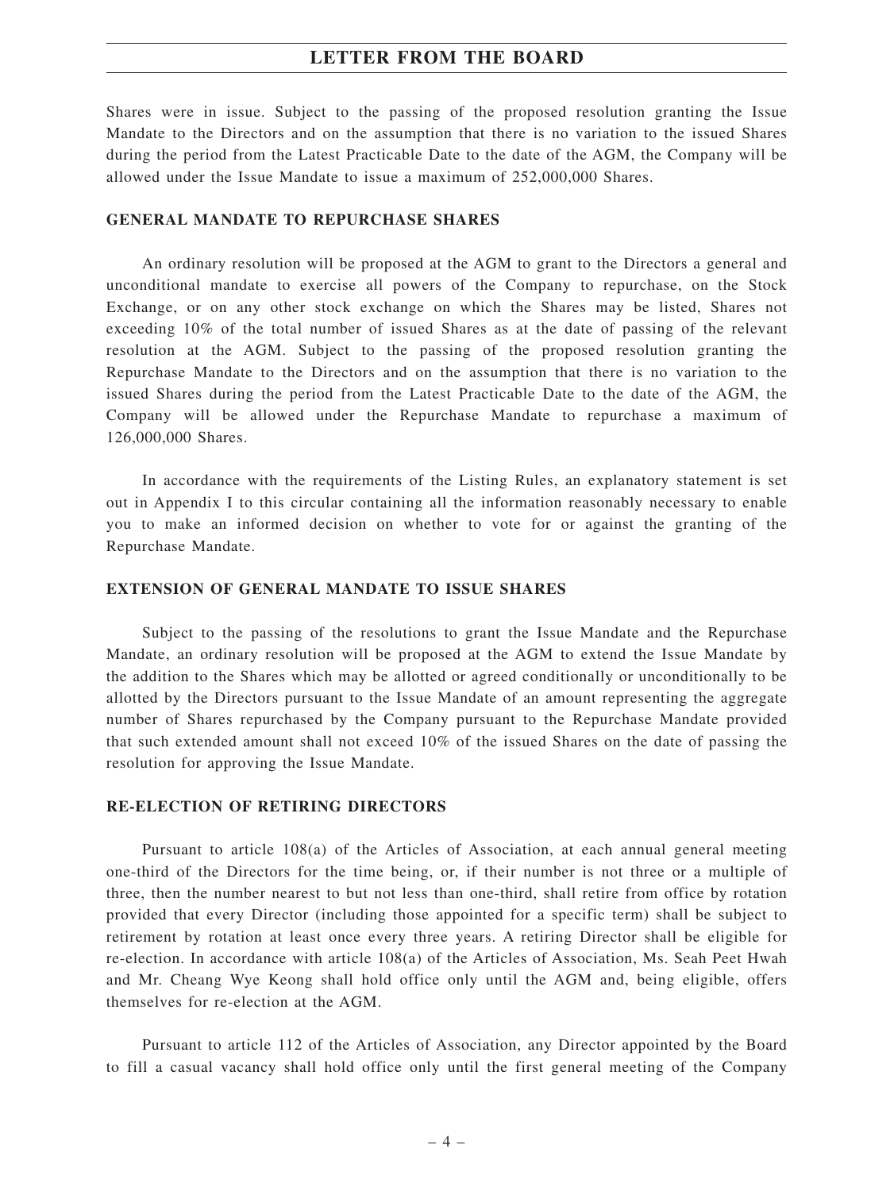Shares were in issue. Subject to the passing of the proposed resolution granting the Issue Mandate to the Directors and on the assumption that there is no variation to the issued Shares during the period from the Latest Practicable Date to the date of the AGM, the Company will be allowed under the Issue Mandate to issue a maximum of 252,000,000 Shares.

## **GENERAL MANDATE TO REPURCHASE SHARES**

An ordinary resolution will be proposed at the AGM to grant to the Directors a general and unconditional mandate to exercise all powers of the Company to repurchase, on the Stock Exchange, or on any other stock exchange on which the Shares may be listed, Shares not exceeding 10% of the total number of issued Shares as at the date of passing of the relevant resolution at the AGM. Subject to the passing of the proposed resolution granting the Repurchase Mandate to the Directors and on the assumption that there is no variation to the issued Shares during the period from the Latest Practicable Date to the date of the AGM, the Company will be allowed under the Repurchase Mandate to repurchase a maximum of 126,000,000 Shares.

In accordance with the requirements of the Listing Rules, an explanatory statement is set out in Appendix I to this circular containing all the information reasonably necessary to enable you to make an informed decision on whether to vote for or against the granting of the Repurchase Mandate.

### **EXTENSION OF GENERAL MANDATE TO ISSUE SHARES**

Subject to the passing of the resolutions to grant the Issue Mandate and the Repurchase Mandate, an ordinary resolution will be proposed at the AGM to extend the Issue Mandate by the addition to the Shares which may be allotted or agreed conditionally or unconditionally to be allotted by the Directors pursuant to the Issue Mandate of an amount representing the aggregate number of Shares repurchased by the Company pursuant to the Repurchase Mandate provided that such extended amount shall not exceed 10% of the issued Shares on the date of passing the resolution for approving the Issue Mandate.

### **RE-ELECTION OF RETIRING DIRECTORS**

Pursuant to article 108(a) of the Articles of Association, at each annual general meeting one-third of the Directors for the time being, or, if their number is not three or a multiple of three, then the number nearest to but not less than one-third, shall retire from office by rotation provided that every Director (including those appointed for a specific term) shall be subject to retirement by rotation at least once every three years. A retiring Director shall be eligible for re-election. In accordance with article 108(a) of the Articles of Association, Ms. Seah Peet Hwah and Mr. Cheang Wye Keong shall hold office only until the AGM and, being eligible, offers themselves for re-election at the AGM.

Pursuant to article 112 of the Articles of Association, any Director appointed by the Board to fill a casual vacancy shall hold office only until the first general meeting of the Company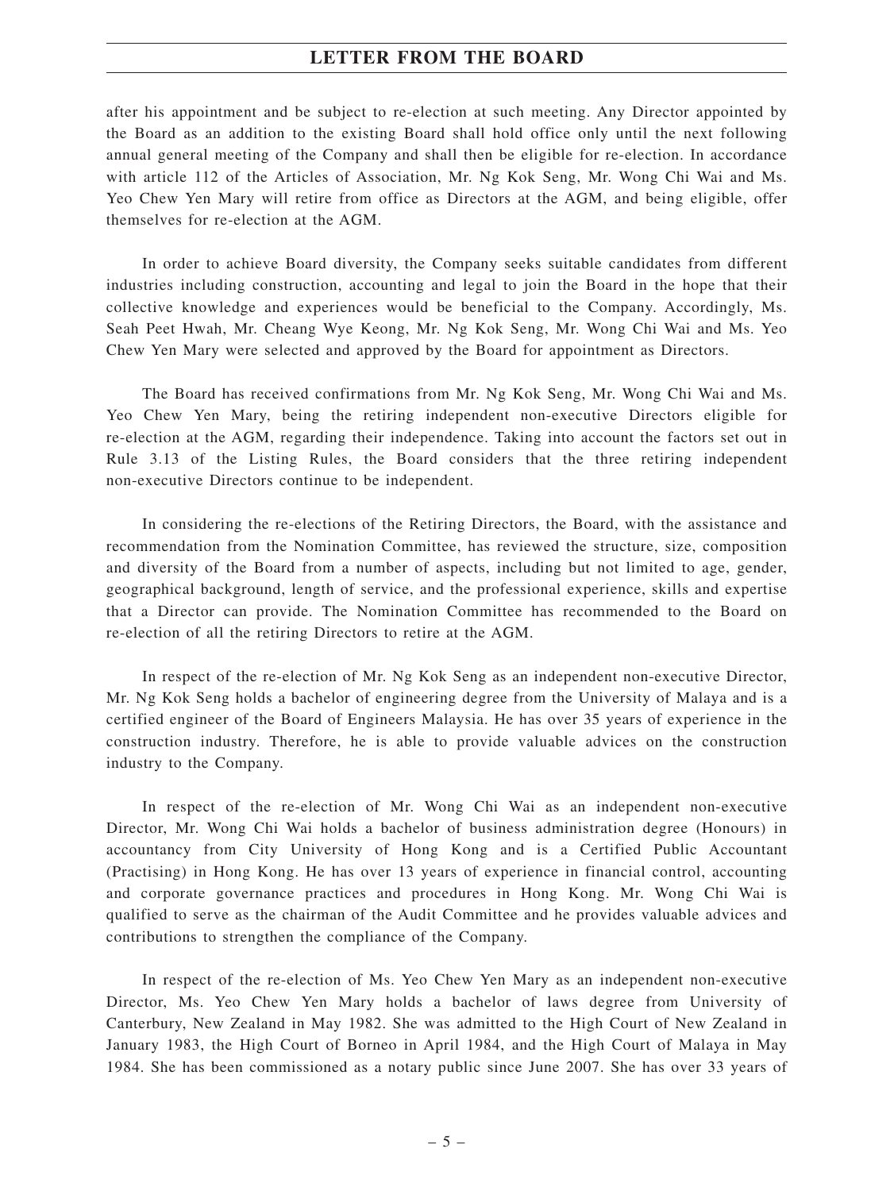after his appointment and be subject to re-election at such meeting. Any Director appointed by the Board as an addition to the existing Board shall hold office only until the next following annual general meeting of the Company and shall then be eligible for re-election. In accordance with article 112 of the Articles of Association, Mr. Ng Kok Seng, Mr. Wong Chi Wai and Ms. Yeo Chew Yen Mary will retire from office as Directors at the AGM, and being eligible, offer themselves for re-election at the AGM.

In order to achieve Board diversity, the Company seeks suitable candidates from different industries including construction, accounting and legal to join the Board in the hope that their collective knowledge and experiences would be beneficial to the Company. Accordingly, Ms. Seah Peet Hwah, Mr. Cheang Wye Keong, Mr. Ng Kok Seng, Mr. Wong Chi Wai and Ms. Yeo Chew Yen Mary were selected and approved by the Board for appointment as Directors.

The Board has received confirmations from Mr. Ng Kok Seng, Mr. Wong Chi Wai and Ms. Yeo Chew Yen Mary, being the retiring independent non-executive Directors eligible for re-election at the AGM, regarding their independence. Taking into account the factors set out in Rule 3.13 of the Listing Rules, the Board considers that the three retiring independent non-executive Directors continue to be independent.

In considering the re-elections of the Retiring Directors, the Board, with the assistance and recommendation from the Nomination Committee, has reviewed the structure, size, composition and diversity of the Board from a number of aspects, including but not limited to age, gender, geographical background, length of service, and the professional experience, skills and expertise that a Director can provide. The Nomination Committee has recommended to the Board on re-election of all the retiring Directors to retire at the AGM.

In respect of the re-election of Mr. Ng Kok Seng as an independent non-executive Director, Mr. Ng Kok Seng holds a bachelor of engineering degree from the University of Malaya and is a certified engineer of the Board of Engineers Malaysia. He has over 35 years of experience in the construction industry. Therefore, he is able to provide valuable advices on the construction industry to the Company.

In respect of the re-election of Mr. Wong Chi Wai as an independent non-executive Director, Mr. Wong Chi Wai holds a bachelor of business administration degree (Honours) in accountancy from City University of Hong Kong and is a Certified Public Accountant (Practising) in Hong Kong. He has over 13 years of experience in financial control, accounting and corporate governance practices and procedures in Hong Kong. Mr. Wong Chi Wai is qualified to serve as the chairman of the Audit Committee and he provides valuable advices and contributions to strengthen the compliance of the Company.

In respect of the re-election of Ms. Yeo Chew Yen Mary as an independent non-executive Director, Ms. Yeo Chew Yen Mary holds a bachelor of laws degree from University of Canterbury, New Zealand in May 1982. She was admitted to the High Court of New Zealand in January 1983, the High Court of Borneo in April 1984, and the High Court of Malaya in May 1984. She has been commissioned as a notary public since June 2007. She has over 33 years of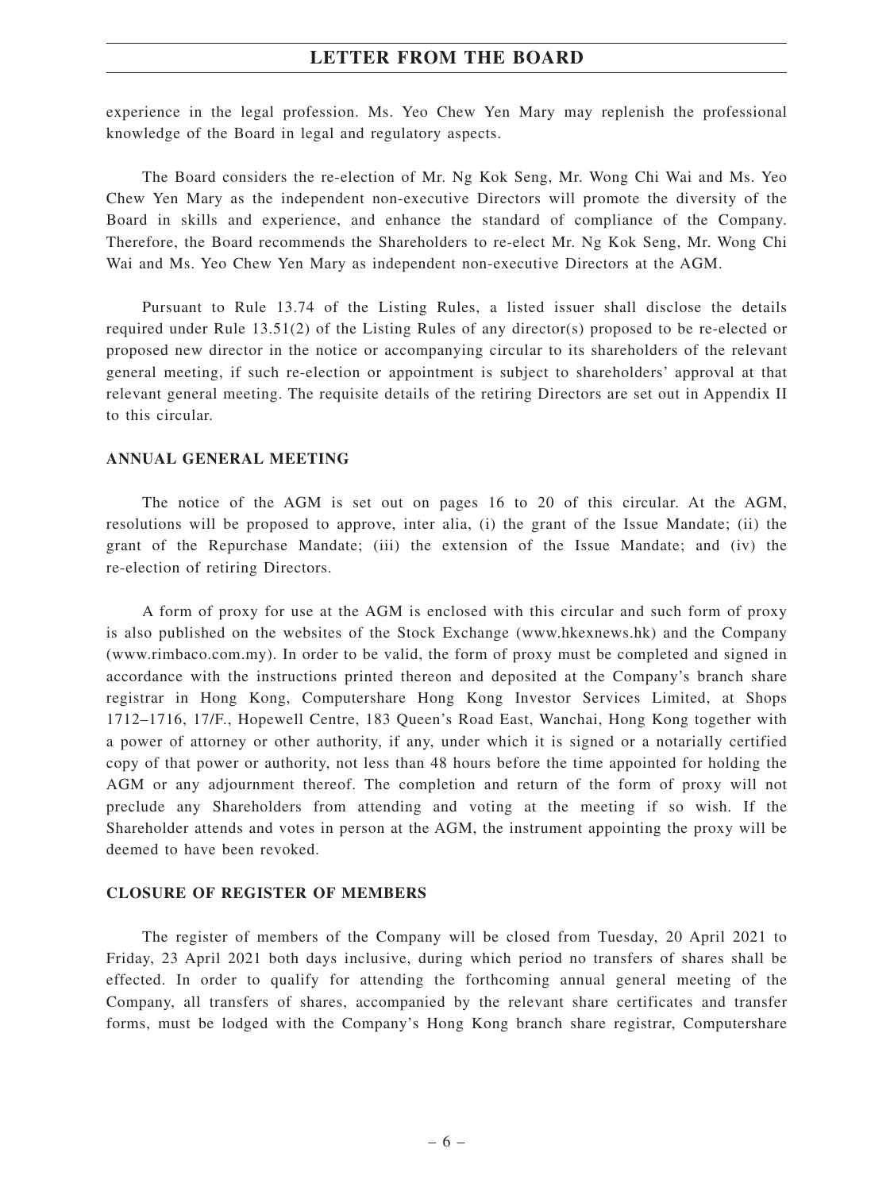experience in the legal profession. Ms. Yeo Chew Yen Mary may replenish the professional knowledge of the Board in legal and regulatory aspects.

The Board considers the re-election of Mr. Ng Kok Seng, Mr. Wong Chi Wai and Ms. Yeo Chew Yen Mary as the independent non-executive Directors will promote the diversity of the Board in skills and experience, and enhance the standard of compliance of the Company. Therefore, the Board recommends the Shareholders to re-elect Mr. Ng Kok Seng, Mr. Wong Chi Wai and Ms. Yeo Chew Yen Mary as independent non-executive Directors at the AGM.

Pursuant to Rule 13.74 of the Listing Rules, a listed issuer shall disclose the details required under Rule 13.51(2) of the Listing Rules of any director(s) proposed to be re-elected or proposed new director in the notice or accompanying circular to its shareholders of the relevant general meeting, if such re-election or appointment is subject to shareholders' approval at that relevant general meeting. The requisite details of the retiring Directors are set out in Appendix II to this circular.

## **ANNUAL GENERAL MEETING**

The notice of the AGM is set out on pages 16 to 20 of this circular. At the AGM, resolutions will be proposed to approve, inter alia, (i) the grant of the Issue Mandate; (ii) the grant of the Repurchase Mandate; (iii) the extension of the Issue Mandate; and (iv) the re-election of retiring Directors.

A form of proxy for use at the AGM is enclosed with this circular and such form of proxy is also published on the websites of the Stock Exchange (www.hkexnews.hk) and the Company (www.rimbaco.com.my). In order to be valid, the form of proxy must be completed and signed in accordance with the instructions printed thereon and deposited at the Company's branch share registrar in Hong Kong, Computershare Hong Kong Investor Services Limited, at Shops 1712–1716, 17/F., Hopewell Centre, 183 Queen's Road East, Wanchai, Hong Kong together with a power of attorney or other authority, if any, under which it is signed or a notarially certified copy of that power or authority, not less than 48 hours before the time appointed for holding the AGM or any adjournment thereof. The completion and return of the form of proxy will not preclude any Shareholders from attending and voting at the meeting if so wish. If the Shareholder attends and votes in person at the AGM, the instrument appointing the proxy will be deemed to have been revoked.

### **CLOSURE OF REGISTER OF MEMBERS**

The register of members of the Company will be closed from Tuesday, 20 April 2021 to Friday, 23 April 2021 both days inclusive, during which period no transfers of shares shall be effected. In order to qualify for attending the forthcoming annual general meeting of the Company, all transfers of shares, accompanied by the relevant share certificates and transfer forms, must be lodged with the Company's Hong Kong branch share registrar, Computershare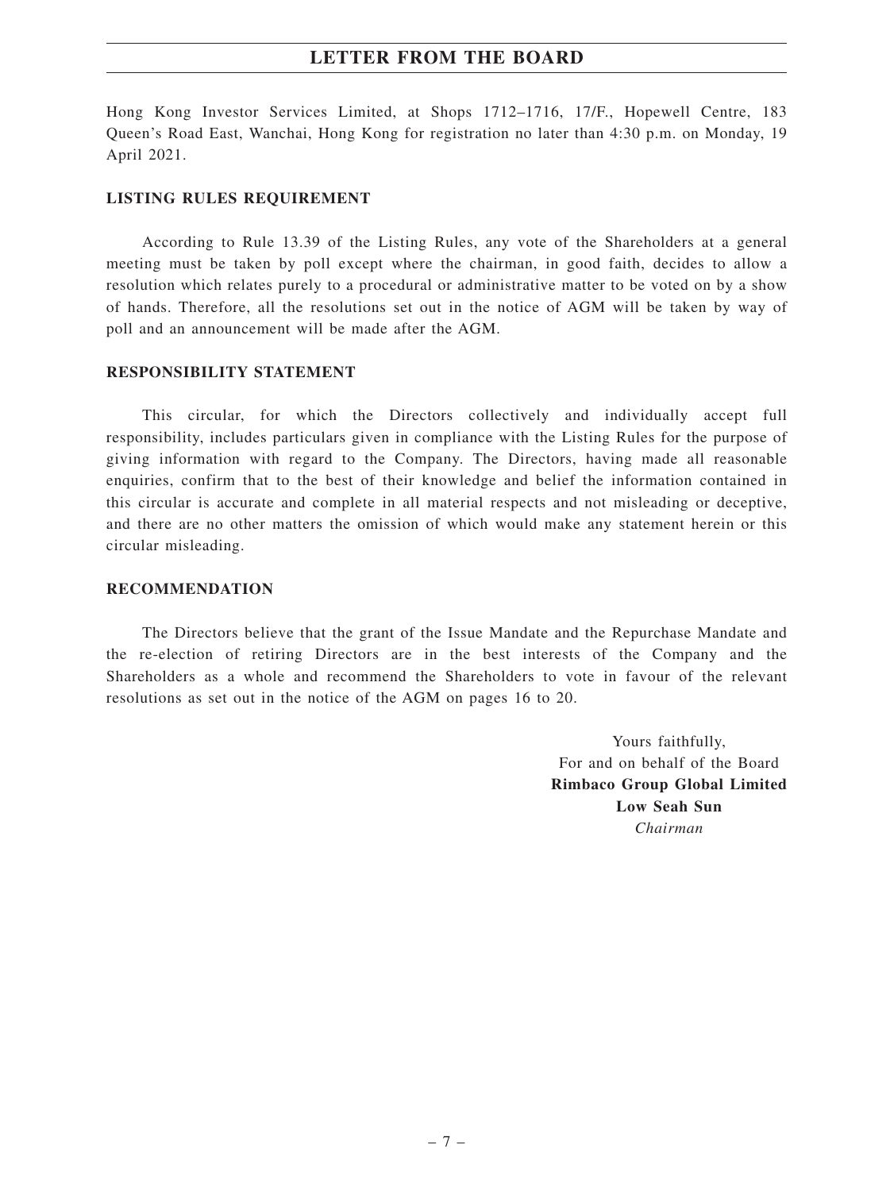Hong Kong Investor Services Limited, at Shops 1712–1716, 17/F., Hopewell Centre, 183 Queen's Road East, Wanchai, Hong Kong for registration no later than 4:30 p.m. on Monday, 19 April 2021.

### **LISTING RULES REQUIREMENT**

According to Rule 13.39 of the Listing Rules, any vote of the Shareholders at a general meeting must be taken by poll except where the chairman, in good faith, decides to allow a resolution which relates purely to a procedural or administrative matter to be voted on by a show of hands. Therefore, all the resolutions set out in the notice of AGM will be taken by way of poll and an announcement will be made after the AGM.

## **RESPONSIBILITY STATEMENT**

This circular, for which the Directors collectively and individually accept full responsibility, includes particulars given in compliance with the Listing Rules for the purpose of giving information with regard to the Company. The Directors, having made all reasonable enquiries, confirm that to the best of their knowledge and belief the information contained in this circular is accurate and complete in all material respects and not misleading or deceptive, and there are no other matters the omission of which would make any statement herein or this circular misleading.

### **RECOMMENDATION**

The Directors believe that the grant of the Issue Mandate and the Repurchase Mandate and the re-election of retiring Directors are in the best interests of the Company and the Shareholders as a whole and recommend the Shareholders to vote in favour of the relevant resolutions as set out in the notice of the AGM on pages 16 to 20.

> Yours faithfully, For and on behalf of the Board **Rimbaco Group Global Limited Low Seah Sun** *Chairman*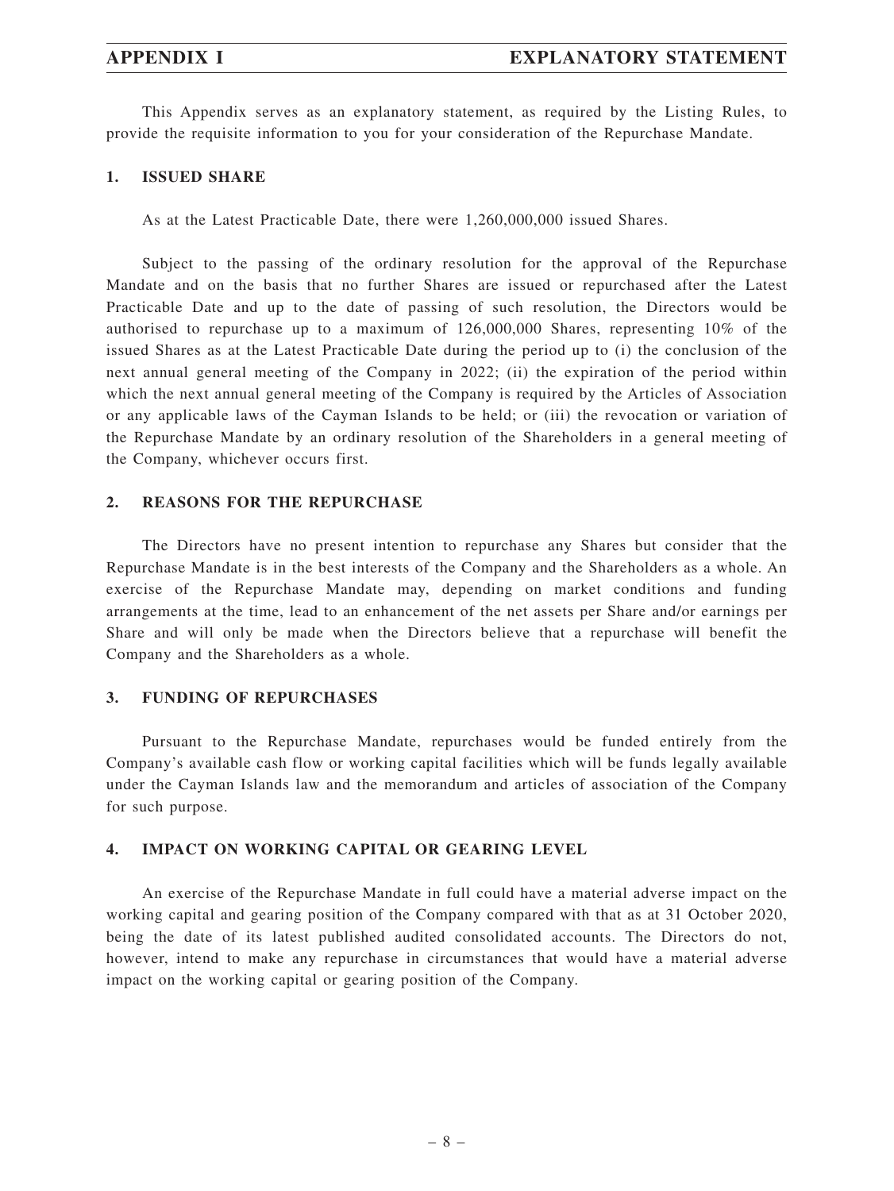This Appendix serves as an explanatory statement, as required by the Listing Rules, to provide the requisite information to you for your consideration of the Repurchase Mandate.

## **1. ISSUED SHARE**

As at the Latest Practicable Date, there were 1,260,000,000 issued Shares.

Subject to the passing of the ordinary resolution for the approval of the Repurchase Mandate and on the basis that no further Shares are issued or repurchased after the Latest Practicable Date and up to the date of passing of such resolution, the Directors would be authorised to repurchase up to a maximum of 126,000,000 Shares, representing 10% of the issued Shares as at the Latest Practicable Date during the period up to (i) the conclusion of the next annual general meeting of the Company in 2022; (ii) the expiration of the period within which the next annual general meeting of the Company is required by the Articles of Association or any applicable laws of the Cayman Islands to be held; or (iii) the revocation or variation of the Repurchase Mandate by an ordinary resolution of the Shareholders in a general meeting of the Company, whichever occurs first.

## **2. REASONS FOR THE REPURCHASE**

The Directors have no present intention to repurchase any Shares but consider that the Repurchase Mandate is in the best interests of the Company and the Shareholders as a whole. An exercise of the Repurchase Mandate may, depending on market conditions and funding arrangements at the time, lead to an enhancement of the net assets per Share and/or earnings per Share and will only be made when the Directors believe that a repurchase will benefit the Company and the Shareholders as a whole.

### **3. FUNDING OF REPURCHASES**

Pursuant to the Repurchase Mandate, repurchases would be funded entirely from the Company's available cash flow or working capital facilities which will be funds legally available under the Cayman Islands law and the memorandum and articles of association of the Company for such purpose.

#### **4. IMPACT ON WORKING CAPITAL OR GEARING LEVEL**

An exercise of the Repurchase Mandate in full could have a material adverse impact on the working capital and gearing position of the Company compared with that as at 31 October 2020, being the date of its latest published audited consolidated accounts. The Directors do not, however, intend to make any repurchase in circumstances that would have a material adverse impact on the working capital or gearing position of the Company.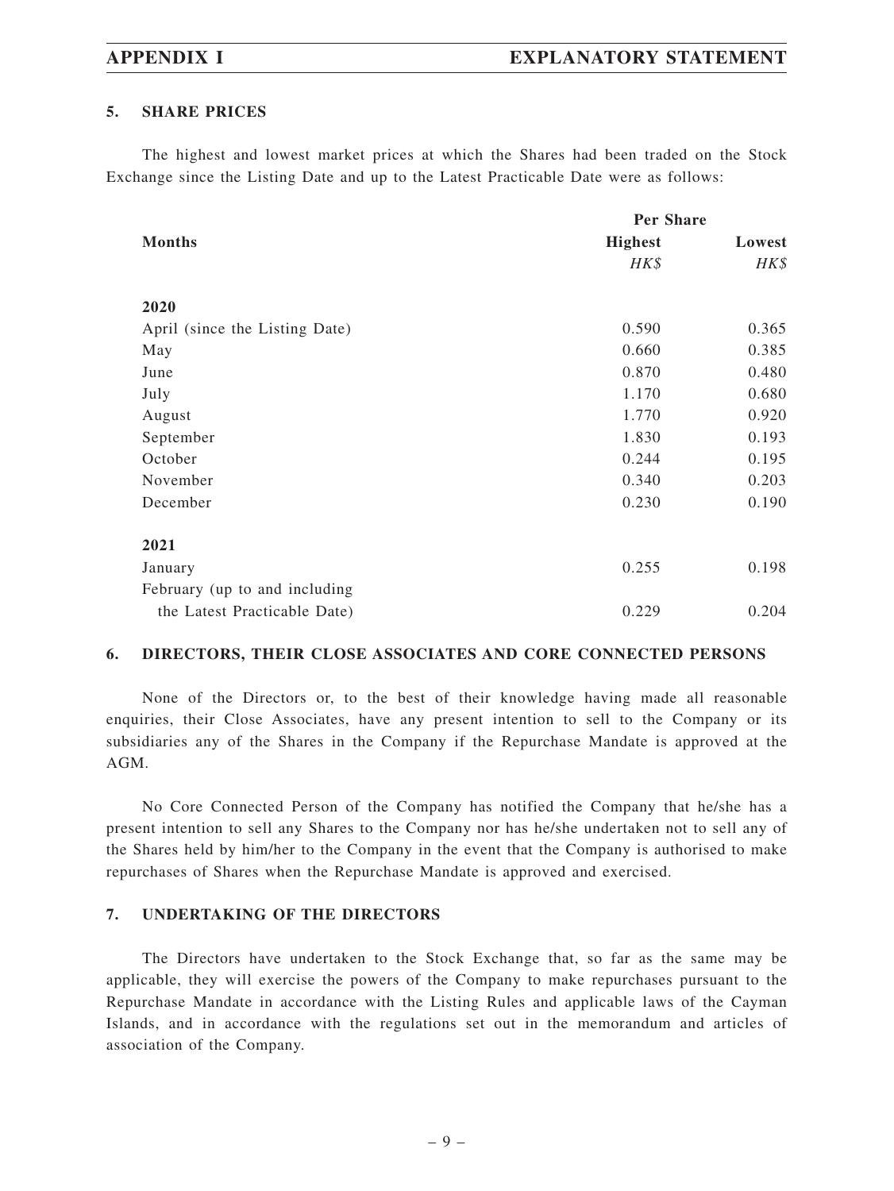## **5. SHARE PRICES**

The highest and lowest market prices at which the Shares had been traded on the Stock Exchange since the Listing Date and up to the Latest Practicable Date were as follows:

|                                | Per Share      |        |
|--------------------------------|----------------|--------|
| <b>Months</b>                  | <b>Highest</b> | Lowest |
|                                | HK\$           | HK\$   |
| 2020                           |                |        |
| April (since the Listing Date) | 0.590          | 0.365  |
| May                            | 0.660          | 0.385  |
| June                           | 0.870          | 0.480  |
| July                           | 1.170          | 0.680  |
| August                         | 1.770          | 0.920  |
| September                      | 1.830          | 0.193  |
| October                        | 0.244          | 0.195  |
| November                       | 0.340          | 0.203  |
| December                       | 0.230          | 0.190  |
| 2021                           |                |        |
| January                        | 0.255          | 0.198  |
| February (up to and including  |                |        |
| the Latest Practicable Date)   | 0.229          | 0.204  |

## **6. DIRECTORS, THEIR CLOSE ASSOCIATES AND CORE CONNECTED PERSONS**

None of the Directors or, to the best of their knowledge having made all reasonable enquiries, their Close Associates, have any present intention to sell to the Company or its subsidiaries any of the Shares in the Company if the Repurchase Mandate is approved at the AGM.

No Core Connected Person of the Company has notified the Company that he/she has a present intention to sell any Shares to the Company nor has he/she undertaken not to sell any of the Shares held by him/her to the Company in the event that the Company is authorised to make repurchases of Shares when the Repurchase Mandate is approved and exercised.

## **7. UNDERTAKING OF THE DIRECTORS**

The Directors have undertaken to the Stock Exchange that, so far as the same may be applicable, they will exercise the powers of the Company to make repurchases pursuant to the Repurchase Mandate in accordance with the Listing Rules and applicable laws of the Cayman Islands, and in accordance with the regulations set out in the memorandum and articles of association of the Company.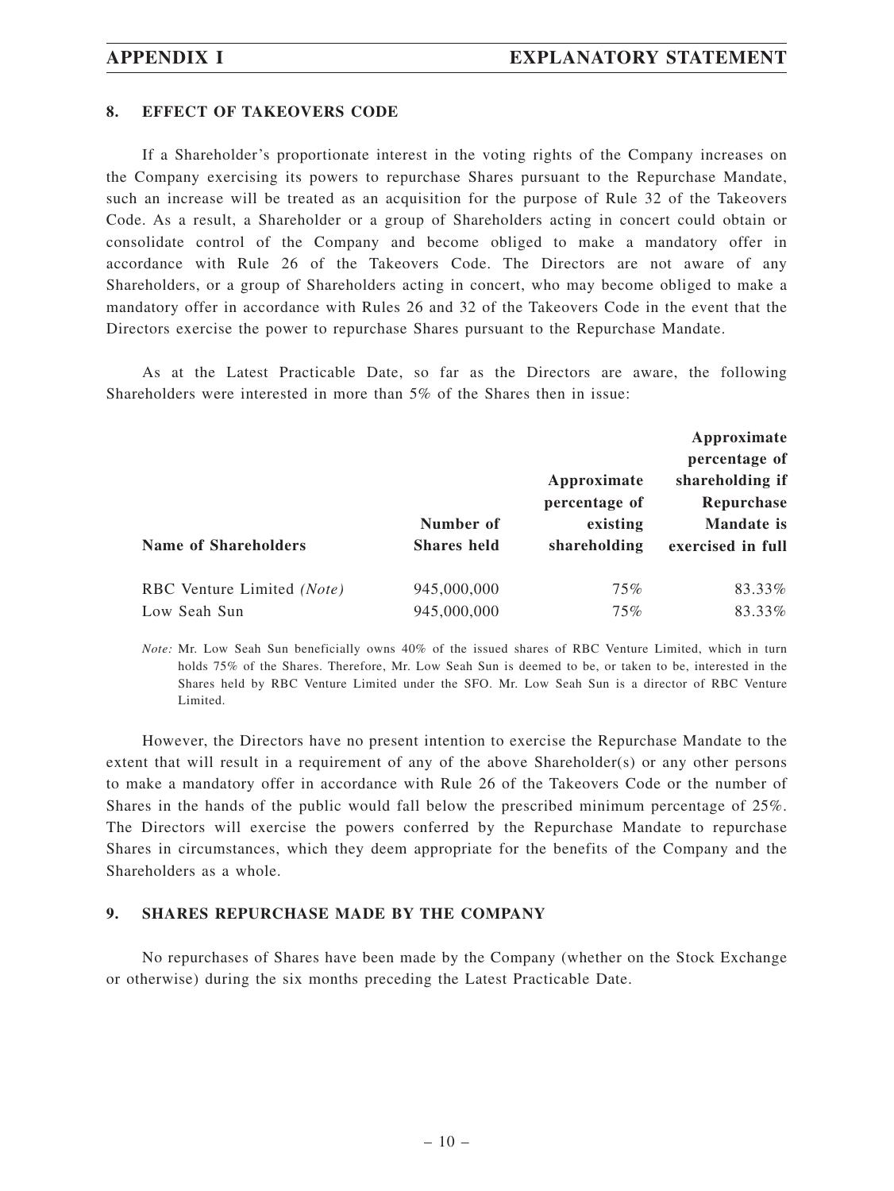## **8. EFFECT OF TAKEOVERS CODE**

If a Shareholder's proportionate interest in the voting rights of the Company increases on the Company exercising its powers to repurchase Shares pursuant to the Repurchase Mandate, such an increase will be treated as an acquisition for the purpose of Rule 32 of the Takeovers Code. As a result, a Shareholder or a group of Shareholders acting in concert could obtain or consolidate control of the Company and become obliged to make a mandatory offer in accordance with Rule 26 of the Takeovers Code. The Directors are not aware of any Shareholders, or a group of Shareholders acting in concert, who may become obliged to make a mandatory offer in accordance with Rules 26 and 32 of the Takeovers Code in the event that the Directors exercise the power to repurchase Shares pursuant to the Repurchase Mandate.

As at the Latest Practicable Date, so far as the Directors are aware, the following Shareholders were interested in more than 5% of the Shares then in issue:

| <b>Name of Shareholders</b> | Number of<br><b>Shares held</b> | Approximate<br>percentage of<br>existing<br>shareholding | Approximate<br>percentage of<br>shareholding if<br>Repurchase<br><b>Mandate</b> is<br>exercised in full |
|-----------------------------|---------------------------------|----------------------------------------------------------|---------------------------------------------------------------------------------------------------------|
| RBC Venture Limited (Note)  | 945,000,000                     | 75%                                                      | 83.33%                                                                                                  |
| Low Seah Sun                | 945,000,000                     | 75%                                                      | 83.33%                                                                                                  |

*Note:* Mr. Low Seah Sun beneficially owns 40% of the issued shares of RBC Venture Limited, which in turn holds 75% of the Shares. Therefore, Mr. Low Seah Sun is deemed to be, or taken to be, interested in the Shares held by RBC Venture Limited under the SFO. Mr. Low Seah Sun is a director of RBC Venture Limited.

However, the Directors have no present intention to exercise the Repurchase Mandate to the extent that will result in a requirement of any of the above Shareholder(s) or any other persons to make a mandatory offer in accordance with Rule 26 of the Takeovers Code or the number of Shares in the hands of the public would fall below the prescribed minimum percentage of 25%. The Directors will exercise the powers conferred by the Repurchase Mandate to repurchase Shares in circumstances, which they deem appropriate for the benefits of the Company and the Shareholders as a whole.

## **9. SHARES REPURCHASE MADE BY THE COMPANY**

No repurchases of Shares have been made by the Company (whether on the Stock Exchange or otherwise) during the six months preceding the Latest Practicable Date.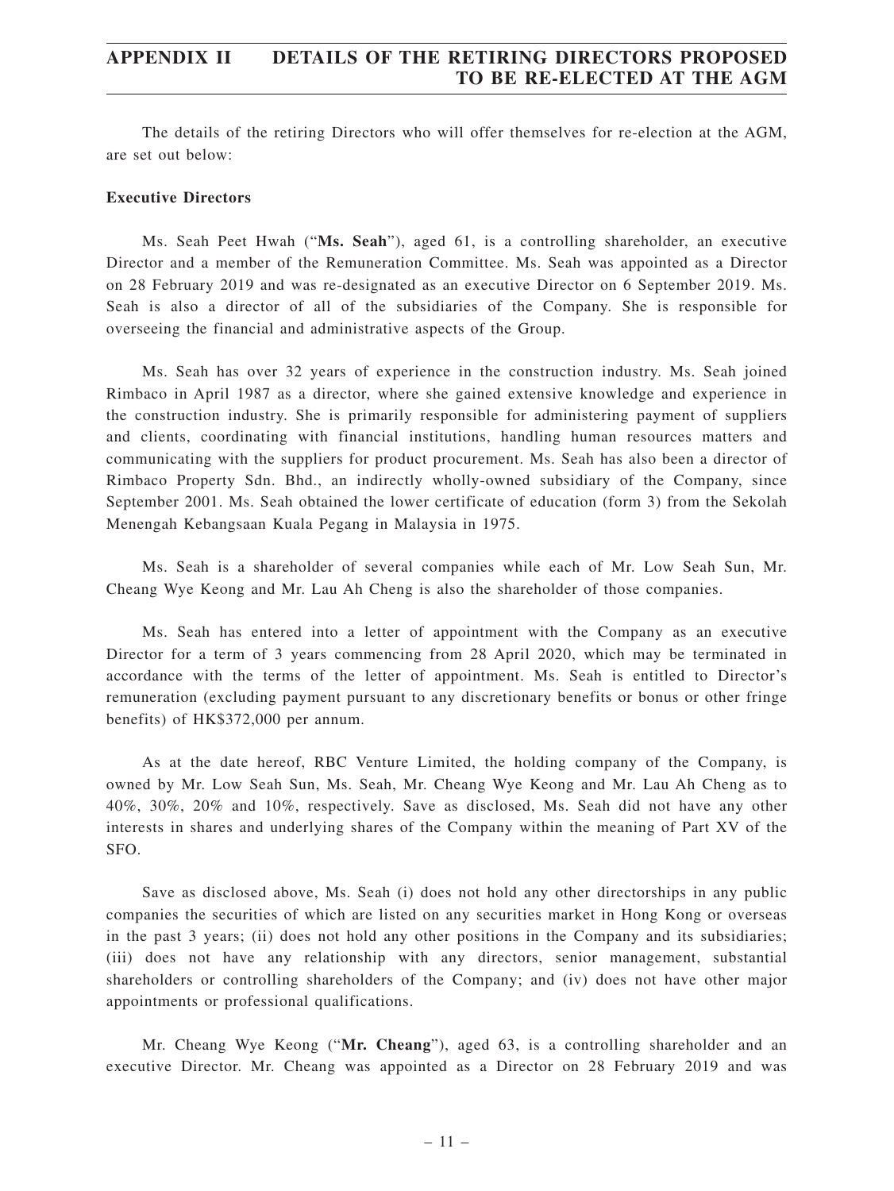The details of the retiring Directors who will offer themselves for re-election at the AGM, are set out below:

#### **Executive Directors**

Ms. Seah Peet Hwah ("**Ms. Seah**"), aged 61, is a controlling shareholder, an executive Director and a member of the Remuneration Committee. Ms. Seah was appointed as a Director on 28 February 2019 and was re-designated as an executive Director on 6 September 2019. Ms. Seah is also a director of all of the subsidiaries of the Company. She is responsible for overseeing the financial and administrative aspects of the Group.

Ms. Seah has over 32 years of experience in the construction industry. Ms. Seah joined Rimbaco in April 1987 as a director, where she gained extensive knowledge and experience in the construction industry. She is primarily responsible for administering payment of suppliers and clients, coordinating with financial institutions, handling human resources matters and communicating with the suppliers for product procurement. Ms. Seah has also been a director of Rimbaco Property Sdn. Bhd., an indirectly wholly-owned subsidiary of the Company, since September 2001. Ms. Seah obtained the lower certificate of education (form 3) from the Sekolah Menengah Kebangsaan Kuala Pegang in Malaysia in 1975.

Ms. Seah is a shareholder of several companies while each of Mr. Low Seah Sun, Mr. Cheang Wye Keong and Mr. Lau Ah Cheng is also the shareholder of those companies.

Ms. Seah has entered into a letter of appointment with the Company as an executive Director for a term of 3 years commencing from 28 April 2020, which may be terminated in accordance with the terms of the letter of appointment. Ms. Seah is entitled to Director's remuneration (excluding payment pursuant to any discretionary benefits or bonus or other fringe benefits) of HK\$372,000 per annum.

As at the date hereof, RBC Venture Limited, the holding company of the Company, is owned by Mr. Low Seah Sun, Ms. Seah, Mr. Cheang Wye Keong and Mr. Lau Ah Cheng as to 40%, 30%, 20% and 10%, respectively. Save as disclosed, Ms. Seah did not have any other interests in shares and underlying shares of the Company within the meaning of Part XV of the SFO.

Save as disclosed above, Ms. Seah (i) does not hold any other directorships in any public companies the securities of which are listed on any securities market in Hong Kong or overseas in the past 3 years; (ii) does not hold any other positions in the Company and its subsidiaries; (iii) does not have any relationship with any directors, senior management, substantial shareholders or controlling shareholders of the Company; and (iv) does not have other major appointments or professional qualifications.

Mr. Cheang Wye Keong ("**Mr. Cheang**"), aged 63, is a controlling shareholder and an executive Director. Mr. Cheang was appointed as a Director on 28 February 2019 and was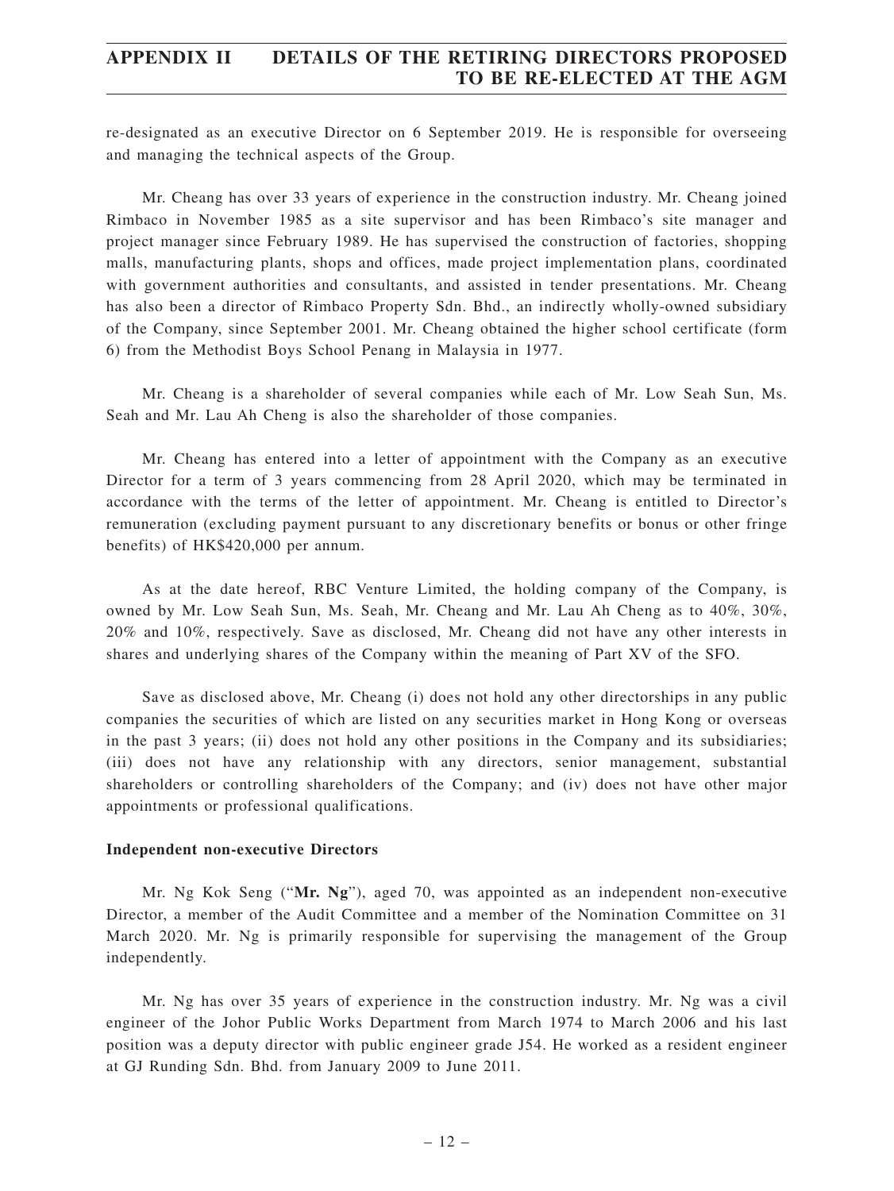re-designated as an executive Director on 6 September 2019. He is responsible for overseeing and managing the technical aspects of the Group.

Mr. Cheang has over 33 years of experience in the construction industry. Mr. Cheang joined Rimbaco in November 1985 as a site supervisor and has been Rimbaco's site manager and project manager since February 1989. He has supervised the construction of factories, shopping malls, manufacturing plants, shops and offices, made project implementation plans, coordinated with government authorities and consultants, and assisted in tender presentations. Mr. Cheang has also been a director of Rimbaco Property Sdn. Bhd., an indirectly wholly-owned subsidiary of the Company, since September 2001. Mr. Cheang obtained the higher school certificate (form 6) from the Methodist Boys School Penang in Malaysia in 1977.

Mr. Cheang is a shareholder of several companies while each of Mr. Low Seah Sun, Ms. Seah and Mr. Lau Ah Cheng is also the shareholder of those companies.

Mr. Cheang has entered into a letter of appointment with the Company as an executive Director for a term of 3 years commencing from 28 April 2020, which may be terminated in accordance with the terms of the letter of appointment. Mr. Cheang is entitled to Director's remuneration (excluding payment pursuant to any discretionary benefits or bonus or other fringe benefits) of HK\$420,000 per annum.

As at the date hereof, RBC Venture Limited, the holding company of the Company, is owned by Mr. Low Seah Sun, Ms. Seah, Mr. Cheang and Mr. Lau Ah Cheng as to 40%, 30%, 20% and 10%, respectively. Save as disclosed, Mr. Cheang did not have any other interests in shares and underlying shares of the Company within the meaning of Part XV of the SFO.

Save as disclosed above, Mr. Cheang (i) does not hold any other directorships in any public companies the securities of which are listed on any securities market in Hong Kong or overseas in the past 3 years; (ii) does not hold any other positions in the Company and its subsidiaries; (iii) does not have any relationship with any directors, senior management, substantial shareholders or controlling shareholders of the Company; and (iv) does not have other major appointments or professional qualifications.

## **Independent non-executive Directors**

Mr. Ng Kok Seng ("**Mr. Ng**"), aged 70, was appointed as an independent non-executive Director, a member of the Audit Committee and a member of the Nomination Committee on 31 March 2020. Mr. Ng is primarily responsible for supervising the management of the Group independently.

Mr. Ng has over 35 years of experience in the construction industry. Mr. Ng was a civil engineer of the Johor Public Works Department from March 1974 to March 2006 and his last position was a deputy director with public engineer grade J54. He worked as a resident engineer at GJ Runding Sdn. Bhd. from January 2009 to June 2011.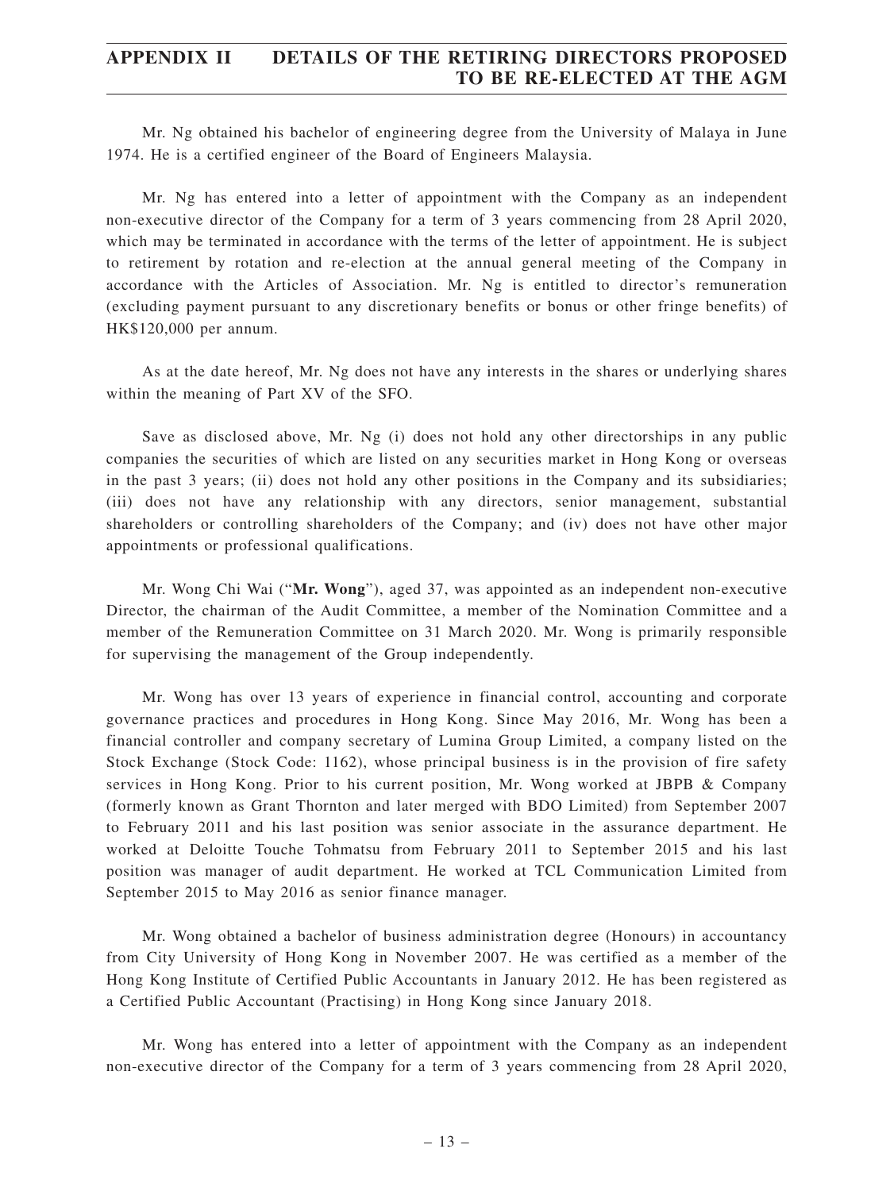Mr. Ng obtained his bachelor of engineering degree from the University of Malaya in June 1974. He is a certified engineer of the Board of Engineers Malaysia.

Mr. Ng has entered into a letter of appointment with the Company as an independent non-executive director of the Company for a term of 3 years commencing from 28 April 2020, which may be terminated in accordance with the terms of the letter of appointment. He is subject to retirement by rotation and re-election at the annual general meeting of the Company in accordance with the Articles of Association. Mr. Ng is entitled to director's remuneration (excluding payment pursuant to any discretionary benefits or bonus or other fringe benefits) of HK\$120,000 per annum.

As at the date hereof, Mr. Ng does not have any interests in the shares or underlying shares within the meaning of Part XV of the SFO.

Save as disclosed above, Mr. Ng (i) does not hold any other directorships in any public companies the securities of which are listed on any securities market in Hong Kong or overseas in the past 3 years; (ii) does not hold any other positions in the Company and its subsidiaries; (iii) does not have any relationship with any directors, senior management, substantial shareholders or controlling shareholders of the Company; and (iv) does not have other major appointments or professional qualifications.

Mr. Wong Chi Wai ("**Mr. Wong**"), aged 37, was appointed as an independent non-executive Director, the chairman of the Audit Committee, a member of the Nomination Committee and a member of the Remuneration Committee on 31 March 2020. Mr. Wong is primarily responsible for supervising the management of the Group independently.

Mr. Wong has over 13 years of experience in financial control, accounting and corporate governance practices and procedures in Hong Kong. Since May 2016, Mr. Wong has been a financial controller and company secretary of Lumina Group Limited, a company listed on the Stock Exchange (Stock Code: 1162), whose principal business is in the provision of fire safety services in Hong Kong. Prior to his current position, Mr. Wong worked at JBPB & Company (formerly known as Grant Thornton and later merged with BDO Limited) from September 2007 to February 2011 and his last position was senior associate in the assurance department. He worked at Deloitte Touche Tohmatsu from February 2011 to September 2015 and his last position was manager of audit department. He worked at TCL Communication Limited from September 2015 to May 2016 as senior finance manager.

Mr. Wong obtained a bachelor of business administration degree (Honours) in accountancy from City University of Hong Kong in November 2007. He was certified as a member of the Hong Kong Institute of Certified Public Accountants in January 2012. He has been registered as a Certified Public Accountant (Practising) in Hong Kong since January 2018.

Mr. Wong has entered into a letter of appointment with the Company as an independent non-executive director of the Company for a term of 3 years commencing from 28 April 2020,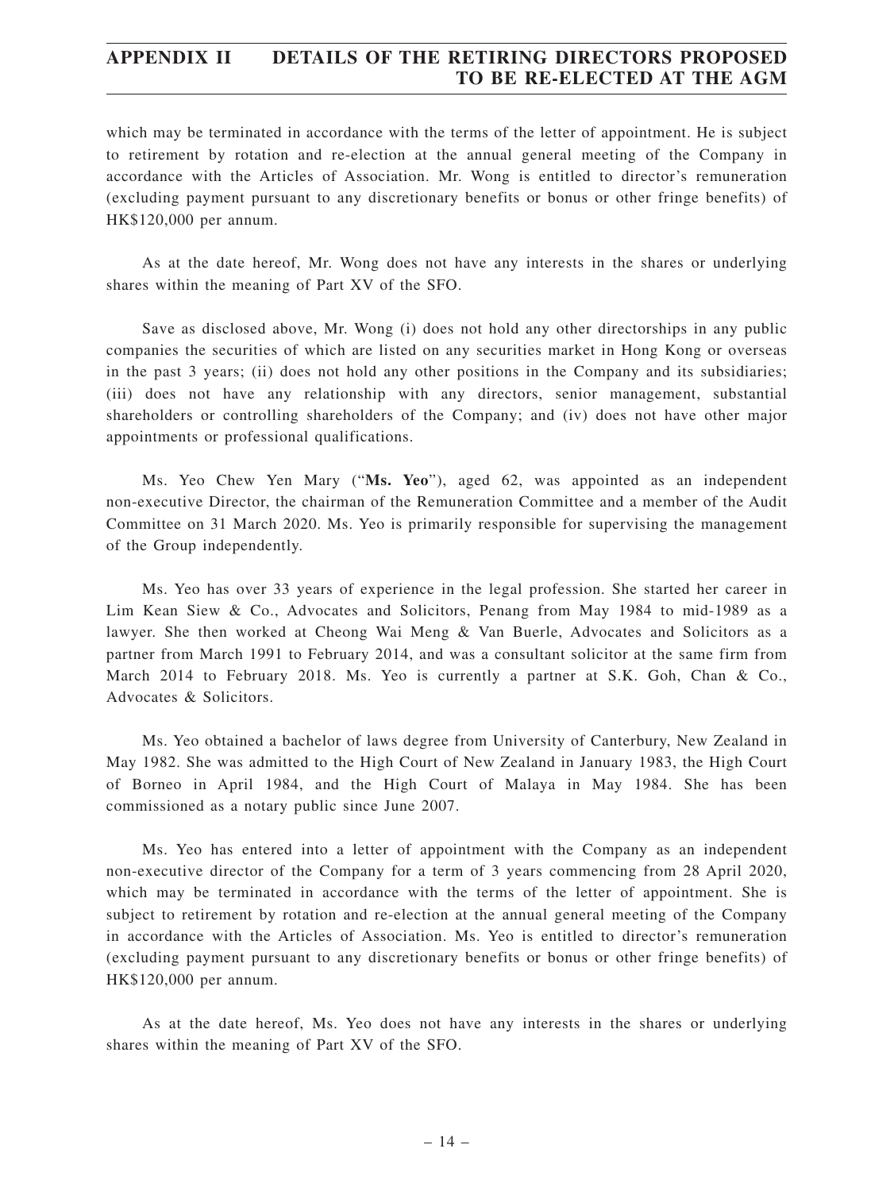which may be terminated in accordance with the terms of the letter of appointment. He is subject to retirement by rotation and re-election at the annual general meeting of the Company in accordance with the Articles of Association. Mr. Wong is entitled to director's remuneration (excluding payment pursuant to any discretionary benefits or bonus or other fringe benefits) of HK\$120,000 per annum.

As at the date hereof, Mr. Wong does not have any interests in the shares or underlying shares within the meaning of Part XV of the SFO.

Save as disclosed above, Mr. Wong (i) does not hold any other directorships in any public companies the securities of which are listed on any securities market in Hong Kong or overseas in the past 3 years; (ii) does not hold any other positions in the Company and its subsidiaries; (iii) does not have any relationship with any directors, senior management, substantial shareholders or controlling shareholders of the Company; and (iv) does not have other major appointments or professional qualifications.

Ms. Yeo Chew Yen Mary ("**Ms. Yeo**"), aged 62, was appointed as an independent non-executive Director, the chairman of the Remuneration Committee and a member of the Audit Committee on 31 March 2020. Ms. Yeo is primarily responsible for supervising the management of the Group independently.

Ms. Yeo has over 33 years of experience in the legal profession. She started her career in Lim Kean Siew & Co., Advocates and Solicitors, Penang from May 1984 to mid-1989 as a lawyer. She then worked at Cheong Wai Meng & Van Buerle, Advocates and Solicitors as a partner from March 1991 to February 2014, and was a consultant solicitor at the same firm from March 2014 to February 2018. Ms. Yeo is currently a partner at S.K. Goh, Chan & Co., Advocates & Solicitors.

Ms. Yeo obtained a bachelor of laws degree from University of Canterbury, New Zealand in May 1982. She was admitted to the High Court of New Zealand in January 1983, the High Court of Borneo in April 1984, and the High Court of Malaya in May 1984. She has been commissioned as a notary public since June 2007.

Ms. Yeo has entered into a letter of appointment with the Company as an independent non-executive director of the Company for a term of 3 years commencing from 28 April 2020, which may be terminated in accordance with the terms of the letter of appointment. She is subject to retirement by rotation and re-election at the annual general meeting of the Company in accordance with the Articles of Association. Ms. Yeo is entitled to director's remuneration (excluding payment pursuant to any discretionary benefits or bonus or other fringe benefits) of HK\$120,000 per annum.

As at the date hereof, Ms. Yeo does not have any interests in the shares or underlying shares within the meaning of Part XV of the SFO.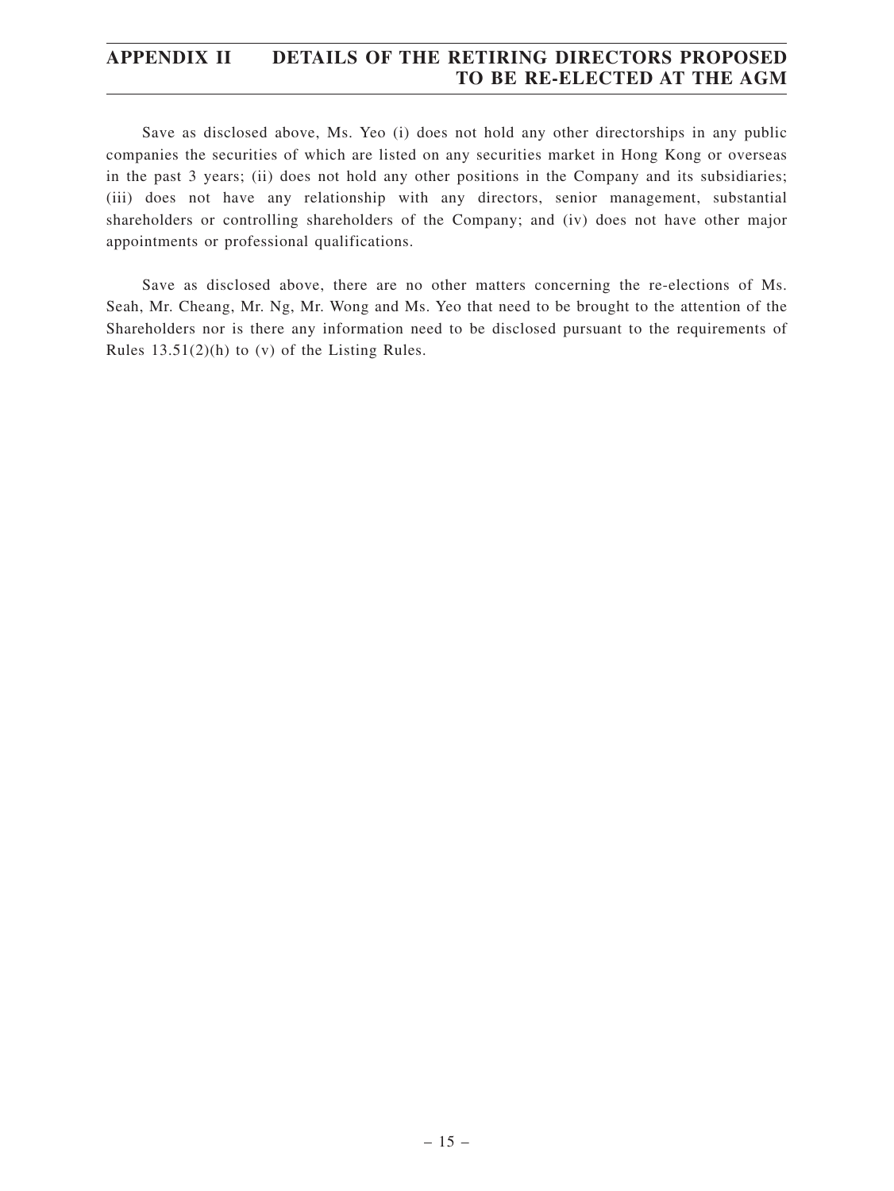Save as disclosed above, Ms. Yeo (i) does not hold any other directorships in any public companies the securities of which are listed on any securities market in Hong Kong or overseas in the past 3 years; (ii) does not hold any other positions in the Company and its subsidiaries; (iii) does not have any relationship with any directors, senior management, substantial shareholders or controlling shareholders of the Company; and (iv) does not have other major appointments or professional qualifications.

Save as disclosed above, there are no other matters concerning the re-elections of Ms. Seah, Mr. Cheang, Mr. Ng, Mr. Wong and Ms. Yeo that need to be brought to the attention of the Shareholders nor is there any information need to be disclosed pursuant to the requirements of Rules 13.51(2)(h) to (v) of the Listing Rules.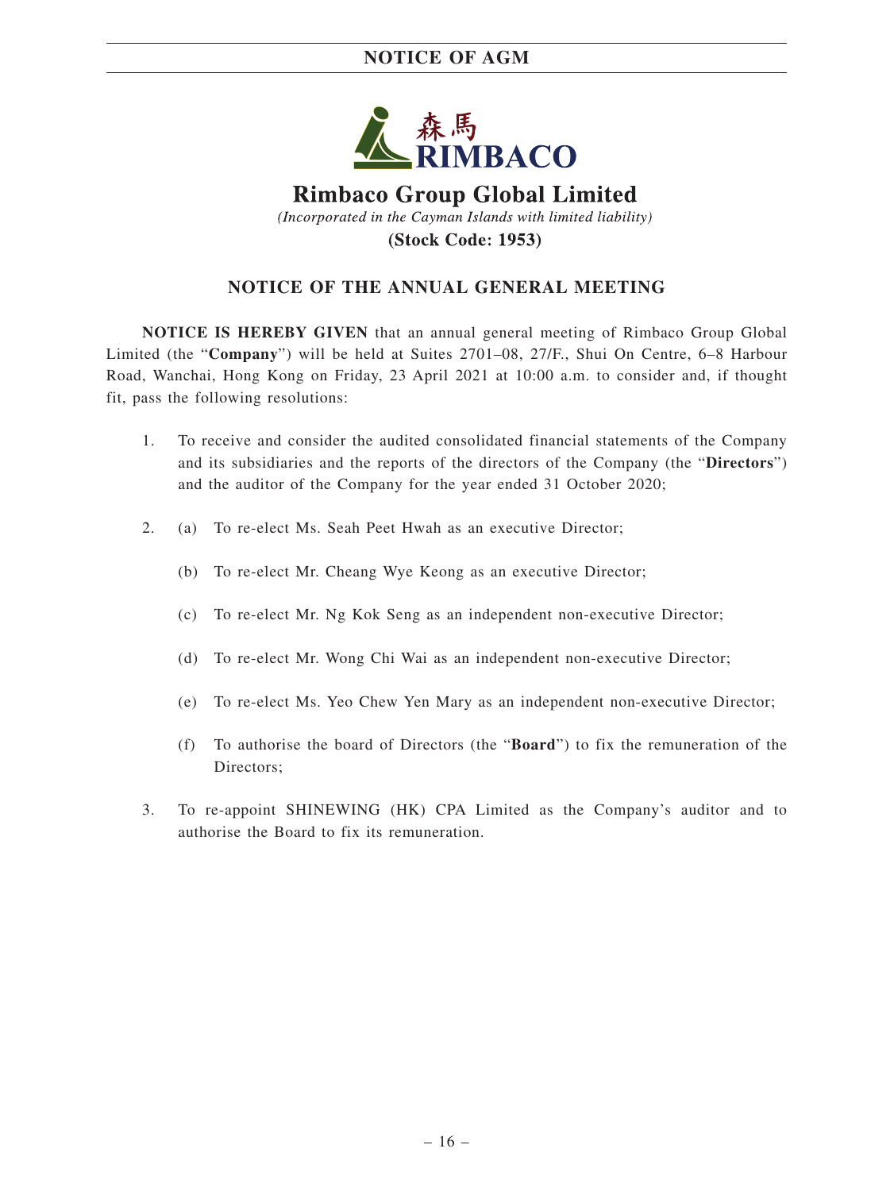# **NOTICE OF AGM**



# **Rimbaco Group Global Limited** (Incorporated in the Cayman Islands with limited liability) **(Stock Code: 1953)**

# **NOTICE OF THE ANNUAL GENERAL MEETING**

**NOTICE IS HEREBY GIVEN** that an annual general meeting of Rimbaco Group Global Limited (the "**Company**") will be held at Suites 2701–08, 27/F., Shui On Centre, 6–8 Harbour Road, Wanchai, Hong Kong on Friday, 23 April 2021 at 10:00 a.m. to consider and, if thought fit, pass the following resolutions:

- 1. To receive and consider the audited consolidated financial statements of the Company and its subsidiaries and the reports of the directors of the Company (the "**Directors**") and the auditor of the Company for the year ended 31 October 2020;
- 2. (a) To re-elect Ms. Seah Peet Hwah as an executive Director;
	- (b) To re-elect Mr. Cheang Wye Keong as an executive Director;
	- (c) To re-elect Mr. Ng Kok Seng as an independent non-executive Director;
	- (d) To re-elect Mr. Wong Chi Wai as an independent non-executive Director;
	- (e) To re-elect Ms. Yeo Chew Yen Mary as an independent non-executive Director;
	- (f) To authorise the board of Directors (the "**Board**") to fix the remuneration of the Directors:
- 3. To re-appoint SHINEWING (HK) CPA Limited as the Company's auditor and to authorise the Board to fix its remuneration.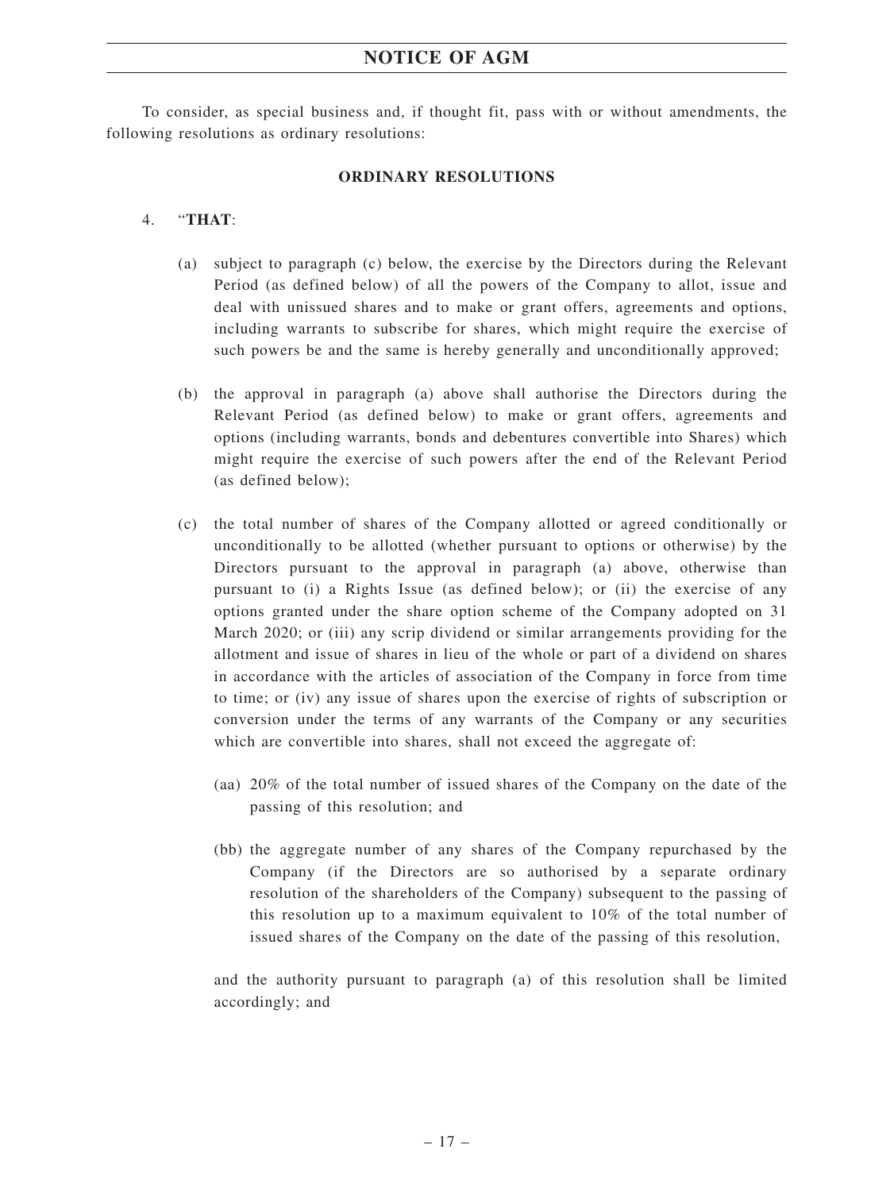# **NOTICE OF AGM**

To consider, as special business and, if thought fit, pass with or without amendments, the following resolutions as ordinary resolutions:

## **ORDINARY RESOLUTIONS**

## 4. "**THAT**:

- (a) subject to paragraph (c) below, the exercise by the Directors during the Relevant Period (as defined below) of all the powers of the Company to allot, issue and deal with unissued shares and to make or grant offers, agreements and options, including warrants to subscribe for shares, which might require the exercise of such powers be and the same is hereby generally and unconditionally approved;
- (b) the approval in paragraph (a) above shall authorise the Directors during the Relevant Period (as defined below) to make or grant offers, agreements and options (including warrants, bonds and debentures convertible into Shares) which might require the exercise of such powers after the end of the Relevant Period (as defined below);
- (c) the total number of shares of the Company allotted or agreed conditionally or unconditionally to be allotted (whether pursuant to options or otherwise) by the Directors pursuant to the approval in paragraph (a) above, otherwise than pursuant to (i) a Rights Issue (as defined below); or (ii) the exercise of any options granted under the share option scheme of the Company adopted on 31 March 2020; or (iii) any scrip dividend or similar arrangements providing for the allotment and issue of shares in lieu of the whole or part of a dividend on shares in accordance with the articles of association of the Company in force from time to time; or (iv) any issue of shares upon the exercise of rights of subscription or conversion under the terms of any warrants of the Company or any securities which are convertible into shares, shall not exceed the aggregate of:
	- (aa) 20% of the total number of issued shares of the Company on the date of the passing of this resolution; and
	- (bb) the aggregate number of any shares of the Company repurchased by the Company (if the Directors are so authorised by a separate ordinary resolution of the shareholders of the Company) subsequent to the passing of this resolution up to a maximum equivalent to 10% of the total number of issued shares of the Company on the date of the passing of this resolution,

and the authority pursuant to paragraph (a) of this resolution shall be limited accordingly; and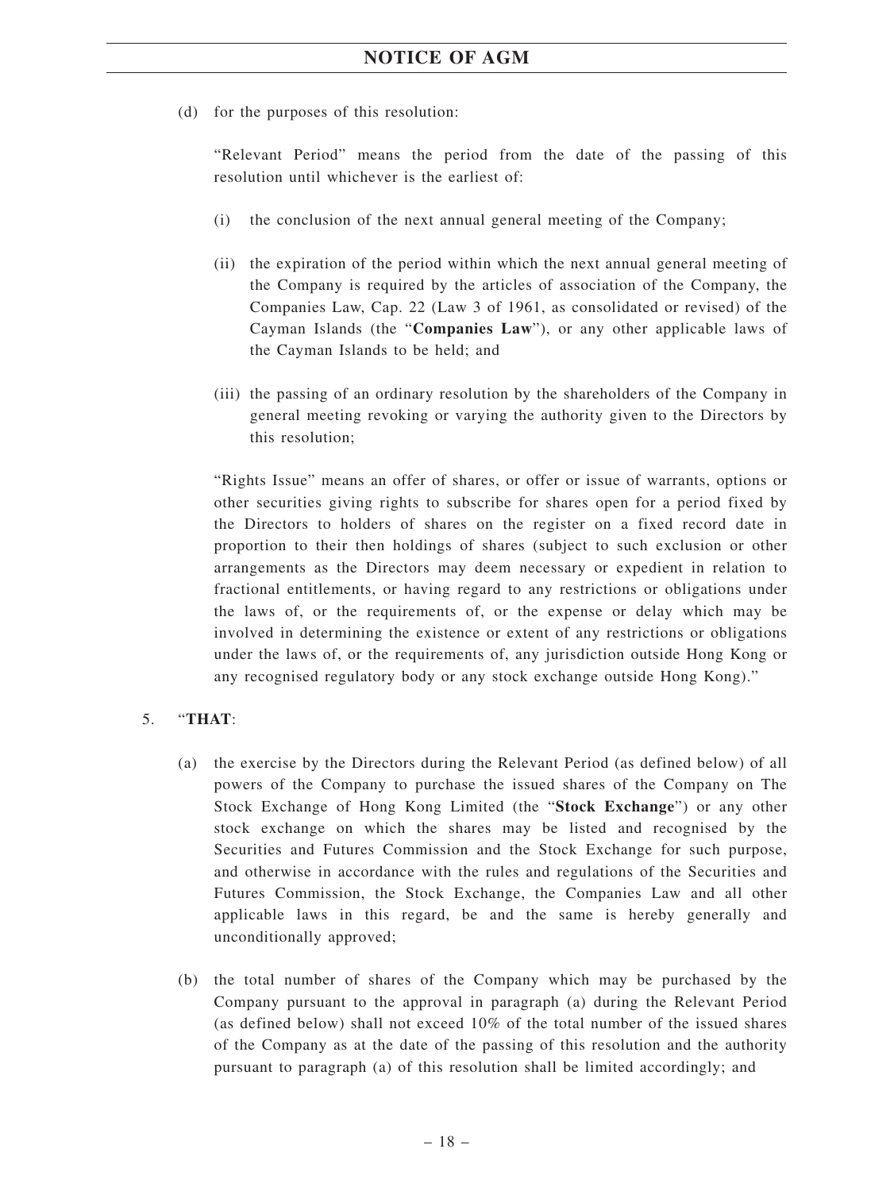(d) for the purposes of this resolution:

"Relevant Period" means the period from the date of the passing of this resolution until whichever is the earliest of:

- (i) the conclusion of the next annual general meeting of the Company;
- (ii) the expiration of the period within which the next annual general meeting of the Company is required by the articles of association of the Company, the Companies Law, Cap. 22 (Law 3 of 1961, as consolidated or revised) of the Cayman Islands (the "**Companies Law**"), or any other applicable laws of the Cayman Islands to be held; and
- (iii) the passing of an ordinary resolution by the shareholders of the Company in general meeting revoking or varying the authority given to the Directors by this resolution;

"Rights Issue" means an offer of shares, or offer or issue of warrants, options or other securities giving rights to subscribe for shares open for a period fixed by the Directors to holders of shares on the register on a fixed record date in proportion to their then holdings of shares (subject to such exclusion or other arrangements as the Directors may deem necessary or expedient in relation to fractional entitlements, or having regard to any restrictions or obligations under the laws of, or the requirements of, or the expense or delay which may be involved in determining the existence or extent of any restrictions or obligations under the laws of, or the requirements of, any jurisdiction outside Hong Kong or any recognised regulatory body or any stock exchange outside Hong Kong)."

## 5. "**THAT**:

- (a) the exercise by the Directors during the Relevant Period (as defined below) of all powers of the Company to purchase the issued shares of the Company on The Stock Exchange of Hong Kong Limited (the "**Stock Exchange**") or any other stock exchange on which the shares may be listed and recognised by the Securities and Futures Commission and the Stock Exchange for such purpose, and otherwise in accordance with the rules and regulations of the Securities and Futures Commission, the Stock Exchange, the Companies Law and all other applicable laws in this regard, be and the same is hereby generally and unconditionally approved;
- (b) the total number of shares of the Company which may be purchased by the Company pursuant to the approval in paragraph (a) during the Relevant Period (as defined below) shall not exceed 10% of the total number of the issued shares of the Company as at the date of the passing of this resolution and the authority pursuant to paragraph (a) of this resolution shall be limited accordingly; and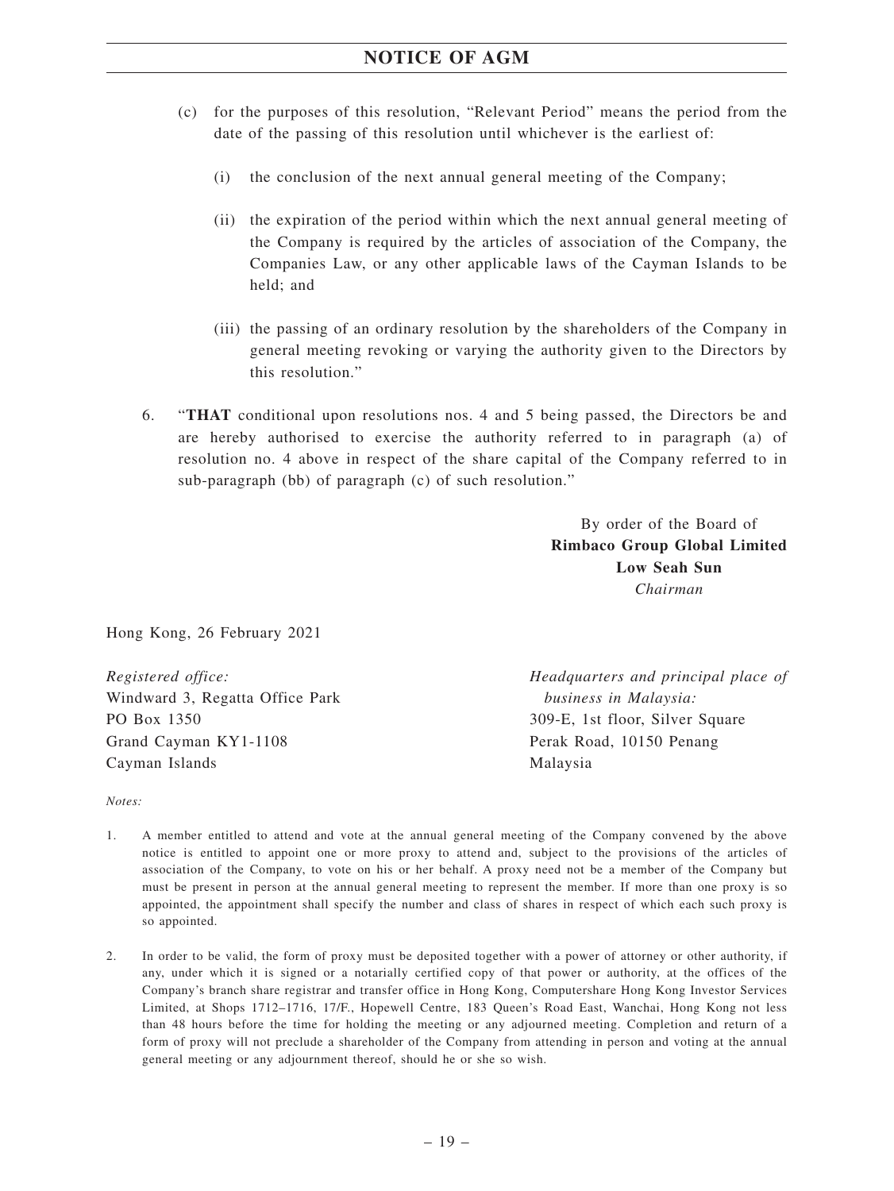# **NOTICE OF AGM**

- (c) for the purposes of this resolution, "Relevant Period" means the period from the date of the passing of this resolution until whichever is the earliest of:
	- (i) the conclusion of the next annual general meeting of the Company;
	- (ii) the expiration of the period within which the next annual general meeting of the Company is required by the articles of association of the Company, the Companies Law, or any other applicable laws of the Cayman Islands to be held; and
	- (iii) the passing of an ordinary resolution by the shareholders of the Company in general meeting revoking or varying the authority given to the Directors by this resolution."
- 6. "**THAT** conditional upon resolutions nos. 4 and 5 being passed, the Directors be and are hereby authorised to exercise the authority referred to in paragraph (a) of resolution no. 4 above in respect of the share capital of the Company referred to in sub-paragraph (bb) of paragraph (c) of such resolution."

By order of the Board of **Rimbaco Group Global Limited Low Seah Sun** *Chairman*

Hong Kong, 26 February 2021

*Registered office:* Windward 3, Regatta Office Park PO Box 1350 Grand Cayman KY1-1108 Cayman Islands

*Headquarters and principal place of business in Malaysia:* 309-E, 1st floor, Silver Square Perak Road, 10150 Penang Malaysia

*Notes:*

- 1. A member entitled to attend and vote at the annual general meeting of the Company convened by the above notice is entitled to appoint one or more proxy to attend and, subject to the provisions of the articles of association of the Company, to vote on his or her behalf. A proxy need not be a member of the Company but must be present in person at the annual general meeting to represent the member. If more than one proxy is so appointed, the appointment shall specify the number and class of shares in respect of which each such proxy is so appointed.
- 2. In order to be valid, the form of proxy must be deposited together with a power of attorney or other authority, if any, under which it is signed or a notarially certified copy of that power or authority, at the offices of the Company's branch share registrar and transfer office in Hong Kong, Computershare Hong Kong Investor Services Limited, at Shops 1712–1716, 17/F., Hopewell Centre, 183 Queen's Road East, Wanchai, Hong Kong not less than 48 hours before the time for holding the meeting or any adjourned meeting. Completion and return of a form of proxy will not preclude a shareholder of the Company from attending in person and voting at the annual general meeting or any adjournment thereof, should he or she so wish.